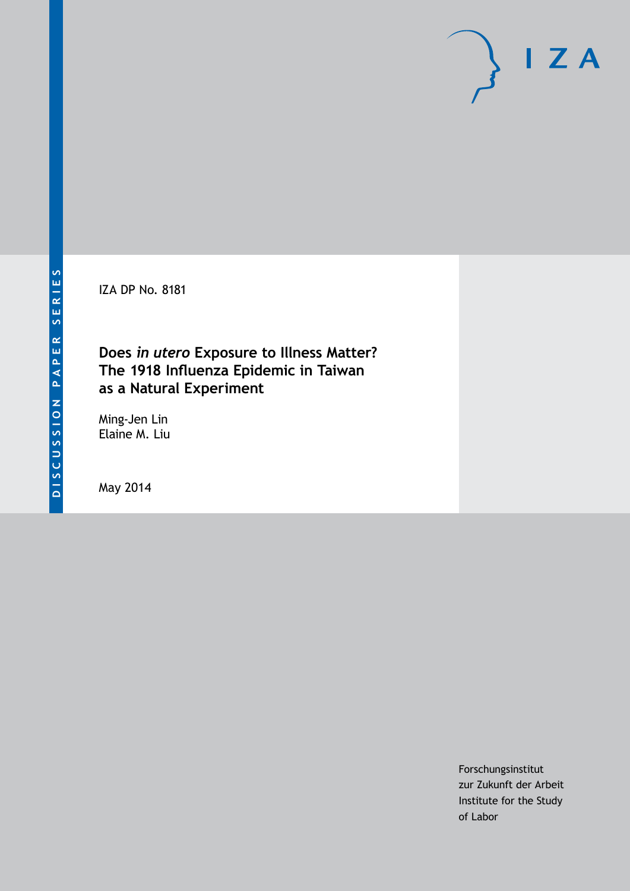IZA DP No. 8181

## **Does** *in utero* **Exposure to Illness Matter? The 1918 Influenza Epidemic in Taiwan as a Natural Experiment**

Ming-Jen Lin Elaine M. Liu

May 2014

Forschungsinstitut zur Zukunft der Arbeit Institute for the Study of Labor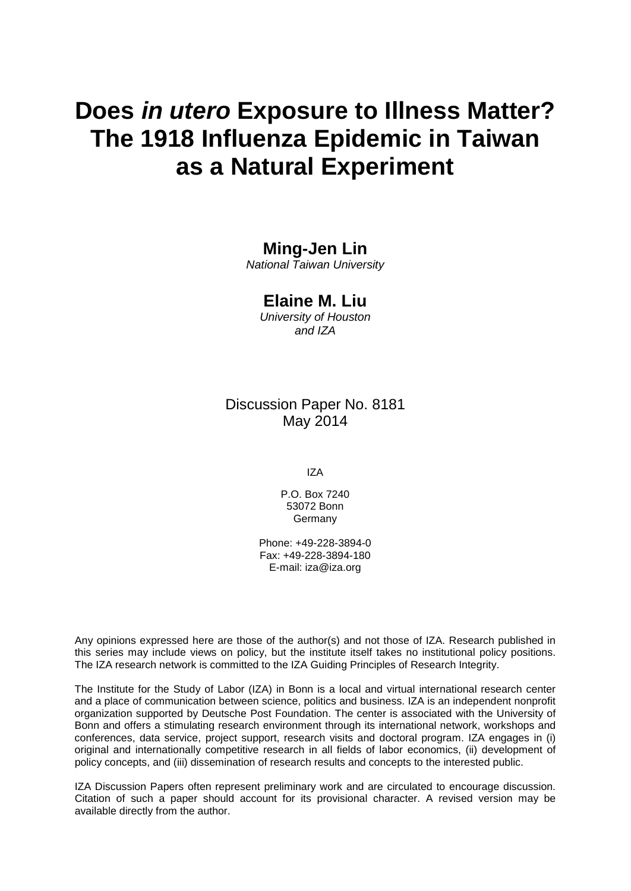# **Does** *in utero* **Exposure to Illness Matter? The 1918 Influenza Epidemic in Taiwan as a Natural Experiment**

### **Ming-Jen Lin**

*National Taiwan University*

### **Elaine M. Liu**

*University of Houston and IZA*

### Discussion Paper No. 8181 May 2014

IZA

P.O. Box 7240 53072 Bonn Germany

Phone: +49-228-3894-0 Fax: +49-228-3894-180 E-mail: [iza@iza.org](mailto:iza@iza.org)

Any opinions expressed here are those of the author(s) and not those of IZA. Research published in this series may include views on policy, but the institute itself takes no institutional policy positions. The IZA research network is committed to the IZA Guiding Principles of Research Integrity.

The Institute for the Study of Labor (IZA) in Bonn is a local and virtual international research center and a place of communication between science, politics and business. IZA is an independent nonprofit organization supported by Deutsche Post Foundation. The center is associated with the University of Bonn and offers a stimulating research environment through its international network, workshops and conferences, data service, project support, research visits and doctoral program. IZA engages in (i) original and internationally competitive research in all fields of labor economics, (ii) development of policy concepts, and (iii) dissemination of research results and concepts to the interested public.

IZA Discussion Papers often represent preliminary work and are circulated to encourage discussion. Citation of such a paper should account for its provisional character. A revised version may be available directly from the author.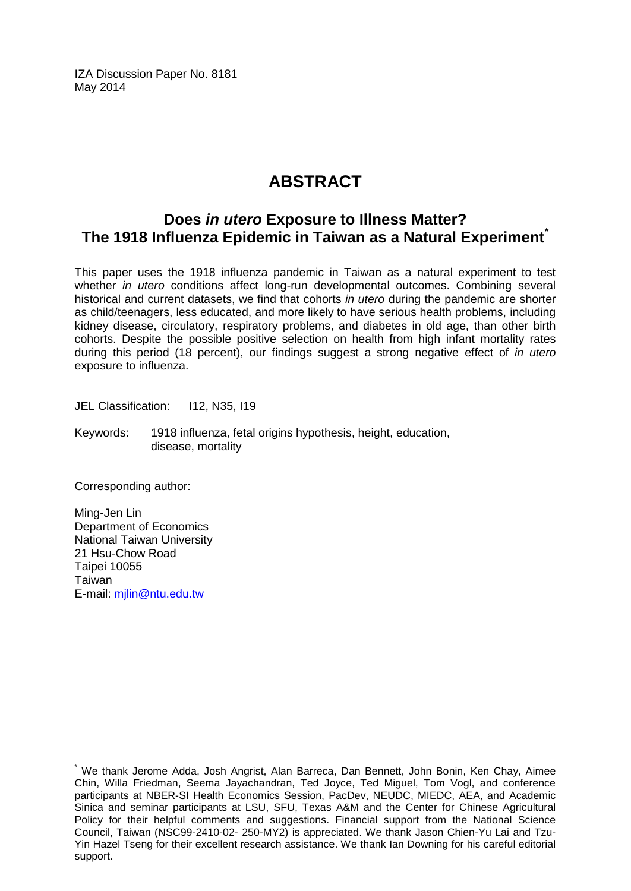IZA Discussion Paper No. 8181 May 2014

# **ABSTRACT**

### **Does** *in utero* **Exposure to Illness Matter? The 1918 Influenza Epidemic in Taiwan as a Natural Experiment[\\*](#page-2-0)**

This paper uses the 1918 influenza pandemic in Taiwan as a natural experiment to test whether *in utero* conditions affect long-run developmental outcomes. Combining several historical and current datasets, we find that cohorts *in utero* during the pandemic are shorter as child/teenagers, less educated, and more likely to have serious health problems, including kidney disease, circulatory, respiratory problems, and diabetes in old age, than other birth cohorts. Despite the possible positive selection on health from high infant mortality rates during this period (18 percent), our findings suggest a strong negative effect of *in utero* exposure to influenza.

JEL Classification: I12, N35, I19

Keywords: 1918 influenza, fetal origins hypothesis, height, education, disease, mortality

Corresponding author:

Ming-Jen Lin Department of Economics National Taiwan University 21 Hsu-Chow Road Taipei 10055 **Taiwan** E-mail: [mjlin@ntu.edu.tw](mailto:mjlin@ntu.edu.tw)

<span id="page-2-0"></span>We thank Jerome Adda, Josh Angrist, Alan Barreca, Dan Bennett, John Bonin, Ken Chay, Aimee Chin, Willa Friedman, Seema Jayachandran, Ted Joyce, Ted Miguel, Tom Vogl, and conference participants at NBER-SI Health Economics Session, PacDev, NEUDC, MIEDC, AEA, and Academic Sinica and seminar participants at LSU, SFU, Texas A&M and the Center for Chinese Agricultural Policy for their helpful comments and suggestions. Financial support from the National Science Council, Taiwan (NSC99-2410-02- 250-MY2) is appreciated. We thank Jason Chien-Yu Lai and Tzu-Yin Hazel Tseng for their excellent research assistance. We thank Ian Downing for his careful editorial support.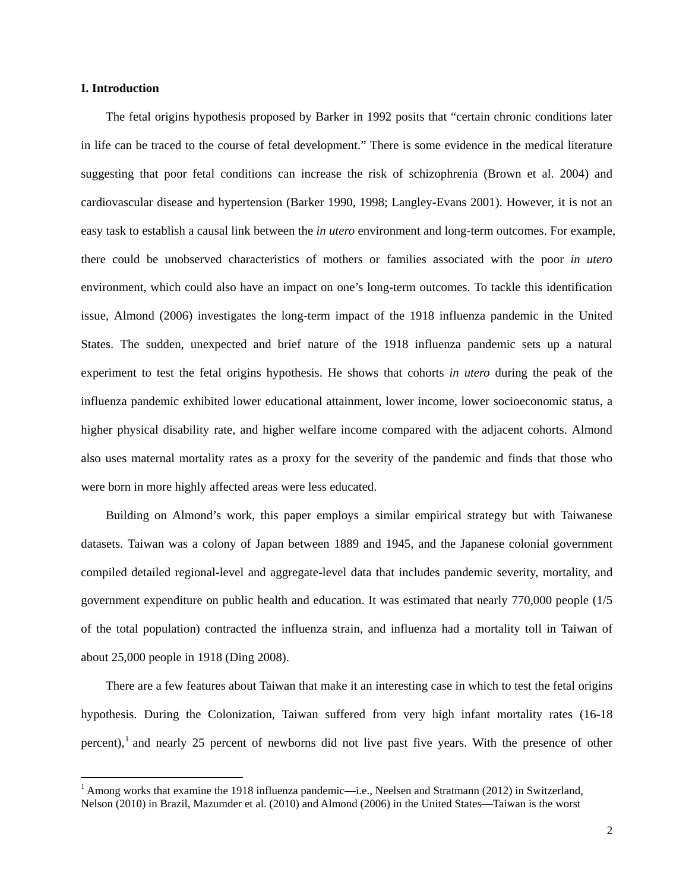#### **I. Introduction**

The fetal origins hypothesis proposed by Barker in 1992 posits that "certain chronic conditions later in life can be traced to the course of fetal development." There is some evidence in the medical literature suggesting that poor fetal conditions can increase the risk of schizophrenia (Brown et al. 2004) and cardiovascular disease and hypertension (Barker 1990, 1998; Langley-Evans 2001). However, it is not an easy task to establish a causal link between the *in utero* environment and long-term outcomes. For example, there could be unobserved characteristics of mothers or families associated with the poor *in utero* environment, which could also have an impact on one's long-term outcomes. To tackle this identification issue, Almond (2006) investigates the long-term impact of the 1918 influenza pandemic in the United States. The sudden, unexpected and brief nature of the 1918 influenza pandemic sets up a natural experiment to test the fetal origins hypothesis. He shows that cohorts *in utero* during the peak of the influenza pandemic exhibited lower educational attainment, lower income, lower socioeconomic status, a higher physical disability rate, and higher welfare income compared with the adjacent cohorts. Almond also uses maternal mortality rates as a proxy for the severity of the pandemic and finds that those who were born in more highly affected areas were less educated.

Building on Almond's work, this paper employs a similar empirical strategy but with Taiwanese datasets. Taiwan was a colony of Japan between 1889 and 1945, and the Japanese colonial government compiled detailed regional-level and aggregate-level data that includes pandemic severity, mortality, and government expenditure on public health and education. It was estimated that nearly 770,000 people (1/5 of the total population) contracted the influenza strain, and influenza had a mortality toll in Taiwan of about 25,000 people in 1918 (Ding 2008).

There are a few features about Taiwan that make it an interesting case in which to test the fetal origins hypothesis. During the Colonization, Taiwan suffered from very high infant mortality rates (16-18 percent),<sup>1</sup> and nearly 25 percent of newborns did not live past five years. With the presence of other

<sup>&</sup>lt;sup>1</sup> Among works that examine the 1918 influenza pandemic—i.e., Neelsen and Stratmann (2012) in Switzerland, Nelson (2010) in Brazil, Mazumder et al. (2010) and Almond (2006) in the United States—Taiwan is the worst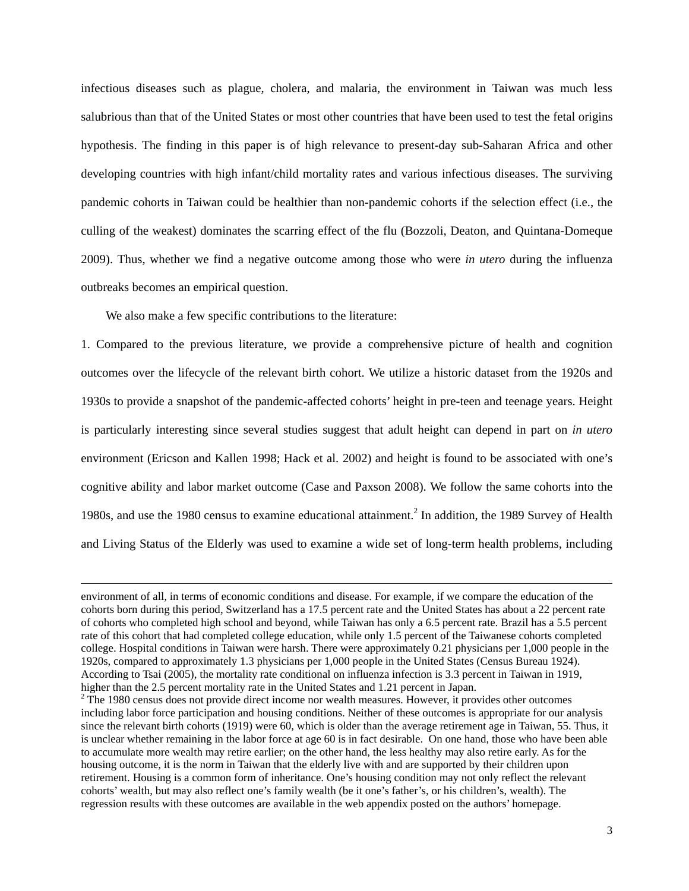infectious diseases such as plague, cholera, and malaria, the environment in Taiwan was much less salubrious than that of the United States or most other countries that have been used to test the fetal origins hypothesis. The finding in this paper is of high relevance to present-day sub-Saharan Africa and other developing countries with high infant/child mortality rates and various infectious diseases. The surviving pandemic cohorts in Taiwan could be healthier than non-pandemic cohorts if the selection effect (i.e., the culling of the weakest) dominates the scarring effect of the flu (Bozzoli, Deaton, and Quintana-Domeque 2009). Thus, whether we find a negative outcome among those who were *in utero* during the influenza outbreaks becomes an empirical question.

We also make a few specific contributions to the literature:

1. Compared to the previous literature, we provide a comprehensive picture of health and cognition outcomes over the lifecycle of the relevant birth cohort. We utilize a historic dataset from the 1920s and 1930s to provide a snapshot of the pandemic-affected cohorts' height in pre-teen and teenage years. Height is particularly interesting since several studies suggest that adult height can depend in part on *in utero* environment (Ericson and Kallen 1998; Hack et al. 2002) and height is found to be associated with one's cognitive ability and labor market outcome (Case and Paxson 2008). We follow the same cohorts into the 1980s, and use the 1980 census to examine educational attainment.<sup>2</sup> In addition, the 1989 Survey of Health and Living Status of the Elderly was used to examine a wide set of long-term health problems, including

<u> 1989 - Andrea Santa Andrea Andrea Andrea Andrea Andrea Andrea Andrea Andrea Andrea Andrea Andrea Andrea Andr</u>

environment of all, in terms of economic conditions and disease. For example, if we compare the education of the cohorts born during this period, Switzerland has a 17.5 percent rate and the United States has about a 22 percent rate of cohorts who completed high school and beyond, while Taiwan has only a 6.5 percent rate. Brazil has a 5.5 percent rate of this cohort that had completed college education, while only 1.5 percent of the Taiwanese cohorts completed college. Hospital conditions in Taiwan were harsh. There were approximately 0.21 physicians per 1,000 people in the 1920s, compared to approximately 1.3 physicians per 1,000 people in the United States (Census Bureau 1924). According to Tsai (2005), the mortality rate conditional on influenza infection is 3.3 percent in Taiwan in 1919, higher than the 2.5 percent mortality rate in the United States and 1.21 percent in Japan.

 $2$  The 1980 census does not provide direct income nor wealth measures. However, it provides other outcomes including labor force participation and housing conditions. Neither of these outcomes is appropriate for our analysis since the relevant birth cohorts (1919) were 60, which is older than the average retirement age in Taiwan, 55. Thus, it is unclear whether remaining in the labor force at age 60 is in fact desirable. On one hand, those who have been able to accumulate more wealth may retire earlier; on the other hand, the less healthy may also retire early. As for the housing outcome, it is the norm in Taiwan that the elderly live with and are supported by their children upon retirement. Housing is a common form of inheritance. One's housing condition may not only reflect the relevant cohorts' wealth, but may also reflect one's family wealth (be it one's father's, or his children's, wealth). The regression results with these outcomes are available in the web appendix posted on the authors' homepage.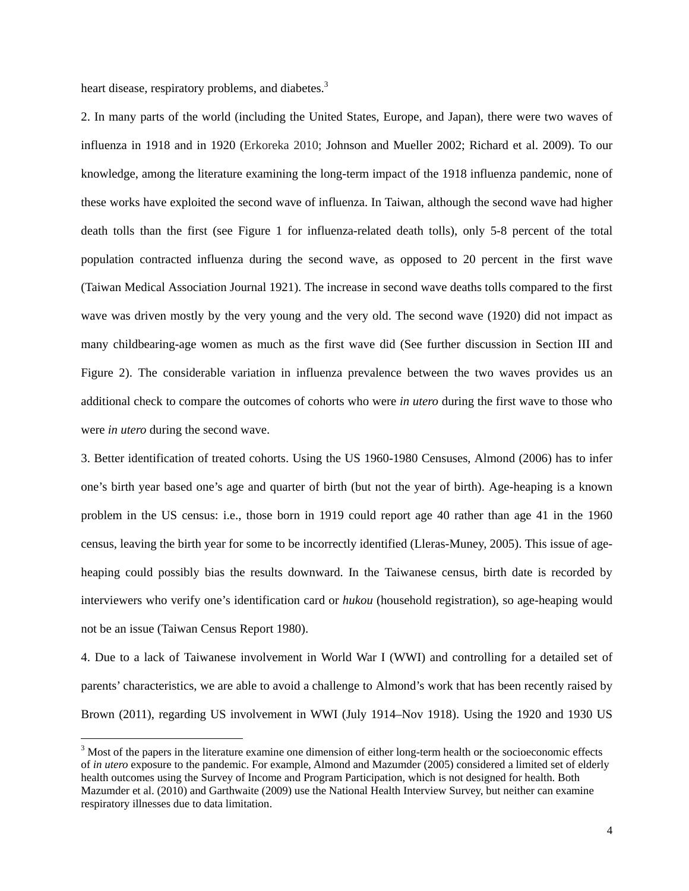heart disease, respiratory problems, and diabetes.<sup>3</sup>

2. In many parts of the world (including the United States, Europe, and Japan), there were two waves of influenza in 1918 and in 1920 (Erkoreka 2010; Johnson and Mueller 2002; Richard et al. 2009). To our knowledge, among the literature examining the long-term impact of the 1918 influenza pandemic, none of these works have exploited the second wave of influenza. In Taiwan, although the second wave had higher death tolls than the first (see Figure 1 for influenza-related death tolls), only 5-8 percent of the total population contracted influenza during the second wave, as opposed to 20 percent in the first wave (Taiwan Medical Association Journal 1921). The increase in second wave deaths tolls compared to the first wave was driven mostly by the very young and the very old. The second wave (1920) did not impact as many childbearing-age women as much as the first wave did (See further discussion in Section III and Figure 2). The considerable variation in influenza prevalence between the two waves provides us an additional check to compare the outcomes of cohorts who were *in utero* during the first wave to those who were *in utero* during the second wave.

3. Better identification of treated cohorts. Using the US 1960-1980 Censuses, Almond (2006) has to infer one's birth year based one's age and quarter of birth (but not the year of birth). Age-heaping is a known problem in the US census: i.e., those born in 1919 could report age 40 rather than age 41 in the 1960 census, leaving the birth year for some to be incorrectly identified (Lleras-Muney, 2005). This issue of ageheaping could possibly bias the results downward. In the Taiwanese census, birth date is recorded by interviewers who verify one's identification card or *hukou* (household registration), so age-heaping would not be an issue (Taiwan Census Report 1980).

4. Due to a lack of Taiwanese involvement in World War I (WWI) and controlling for a detailed set of parents' characteristics, we are able to avoid a challenge to Almond's work that has been recently raised by Brown (2011), regarding US involvement in WWI (July 1914–Nov 1918). Using the 1920 and 1930 US

 $3$  Most of the papers in the literature examine one dimension of either long-term health or the socioeconomic effects of *in utero* exposure to the pandemic. For example, Almond and Mazumder (2005) considered a limited set of elderly health outcomes using the Survey of Income and Program Participation, which is not designed for health. Both Mazumder et al. (2010) and Garthwaite (2009) use the National Health Interview Survey, but neither can examine respiratory illnesses due to data limitation.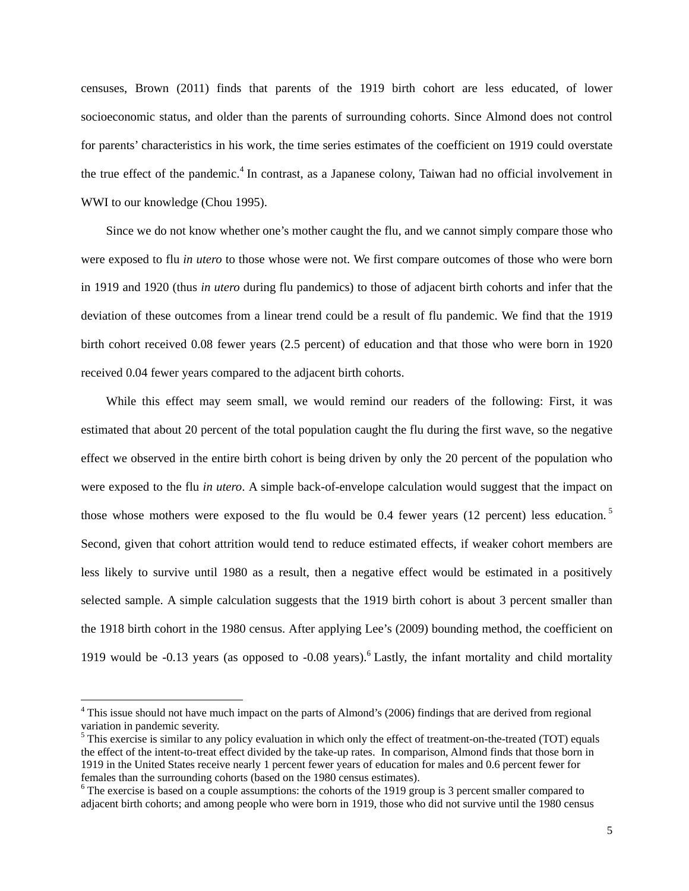censuses, Brown (2011) finds that parents of the 1919 birth cohort are less educated, of lower socioeconomic status, and older than the parents of surrounding cohorts. Since Almond does not control for parents' characteristics in his work, the time series estimates of the coefficient on 1919 could overstate the true effect of the pandemic.<sup>4</sup> In contrast, as a Japanese colony, Taiwan had no official involvement in WWI to our knowledge (Chou 1995).

Since we do not know whether one's mother caught the flu, and we cannot simply compare those who were exposed to flu *in utero* to those whose were not. We first compare outcomes of those who were born in 1919 and 1920 (thus *in utero* during flu pandemics) to those of adjacent birth cohorts and infer that the deviation of these outcomes from a linear trend could be a result of flu pandemic. We find that the 1919 birth cohort received 0.08 fewer years (2.5 percent) of education and that those who were born in 1920 received 0.04 fewer years compared to the adjacent birth cohorts.

While this effect may seem small, we would remind our readers of the following: First, it was estimated that about 20 percent of the total population caught the flu during the first wave, so the negative effect we observed in the entire birth cohort is being driven by only the 20 percent of the population who were exposed to the flu *in utero*. A simple back-of-envelope calculation would suggest that the impact on those whose mothers were exposed to the flu would be 0.4 fewer years (12 percent) less education.<sup>5</sup> Second, given that cohort attrition would tend to reduce estimated effects, if weaker cohort members are less likely to survive until 1980 as a result, then a negative effect would be estimated in a positively selected sample. A simple calculation suggests that the 1919 birth cohort is about 3 percent smaller than the 1918 birth cohort in the 1980 census. After applying Lee's (2009) bounding method, the coefficient on 1919 would be -0.13 years (as opposed to -0.08 years). Lastly, the infant mortality and child mortality

<sup>&</sup>lt;sup>4</sup> This issue should not have much impact on the parts of Almond's (2006) findings that are derived from regional variation in pandemic severity.

<sup>&</sup>lt;sup>5</sup> This exercise is similar to any policy evaluation in which only the effect of treatment-on-the-treated (TOT) equals the effect of the intent-to-treat effect divided by the take-up rates. In comparison, Almond finds that those born in 1919 in the United States receive nearly 1 percent fewer years of education for males and 0.6 percent fewer for females than the surrounding cohorts (based on the 1980 census estimates).

<sup>&</sup>lt;sup>6</sup> The exercise is based on a couple assumptions: the cohorts of the 1919 group is 3 percent smaller compared to adjacent birth cohorts; and among people who were born in 1919, those who did not survive until the 1980 census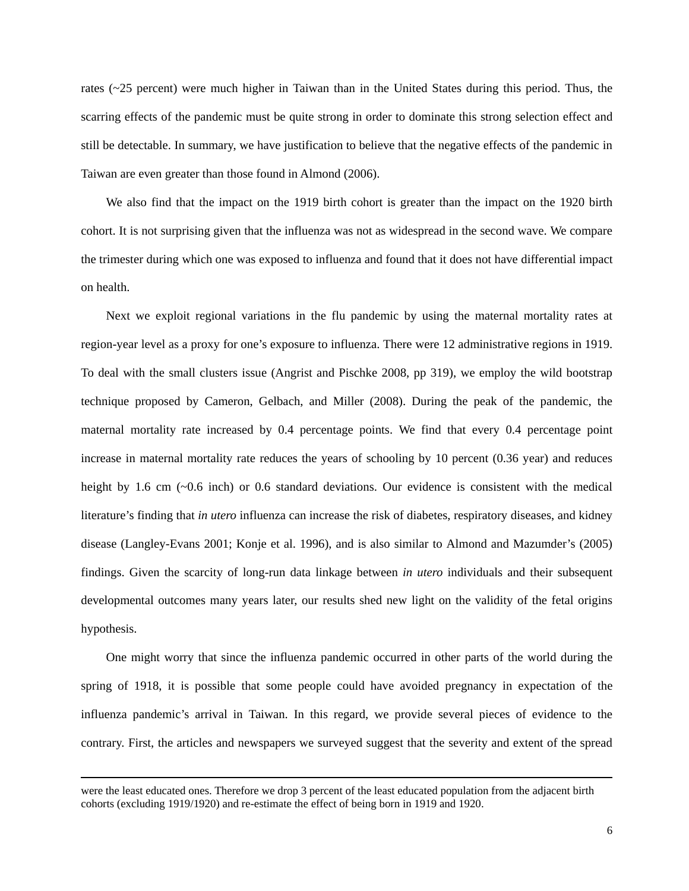rates (~25 percent) were much higher in Taiwan than in the United States during this period. Thus, the scarring effects of the pandemic must be quite strong in order to dominate this strong selection effect and still be detectable. In summary, we have justification to believe that the negative effects of the pandemic in Taiwan are even greater than those found in Almond (2006).

We also find that the impact on the 1919 birth cohort is greater than the impact on the 1920 birth cohort. It is not surprising given that the influenza was not as widespread in the second wave. We compare the trimester during which one was exposed to influenza and found that it does not have differential impact on health.

Next we exploit regional variations in the flu pandemic by using the maternal mortality rates at region-year level as a proxy for one's exposure to influenza. There were 12 administrative regions in 1919. To deal with the small clusters issue (Angrist and Pischke 2008, pp 319), we employ the wild bootstrap technique proposed by Cameron, Gelbach, and Miller (2008). During the peak of the pandemic, the maternal mortality rate increased by 0.4 percentage points. We find that every 0.4 percentage point increase in maternal mortality rate reduces the years of schooling by 10 percent (0.36 year) and reduces height by 1.6 cm (~0.6 inch) or 0.6 standard deviations. Our evidence is consistent with the medical literature's finding that *in utero* influenza can increase the risk of diabetes, respiratory diseases, and kidney disease (Langley-Evans 2001; Konje et al. 1996), and is also similar to Almond and Mazumder's (2005) findings. Given the scarcity of long-run data linkage between *in utero* individuals and their subsequent developmental outcomes many years later, our results shed new light on the validity of the fetal origins hypothesis.

One might worry that since the influenza pandemic occurred in other parts of the world during the spring of 1918, it is possible that some people could have avoided pregnancy in expectation of the influenza pandemic's arrival in Taiwan. In this regard, we provide several pieces of evidence to the contrary. First, the articles and newspapers we surveyed suggest that the severity and extent of the spread

<u> 1989 - Andrea Santa Andrea Andrea Andrea Andrea Andrea Andrea Andrea Andrea Andrea Andrea Andrea Andrea Andr</u>

were the least educated ones. Therefore we drop 3 percent of the least educated population from the adjacent birth cohorts (excluding 1919/1920) and re-estimate the effect of being born in 1919 and 1920.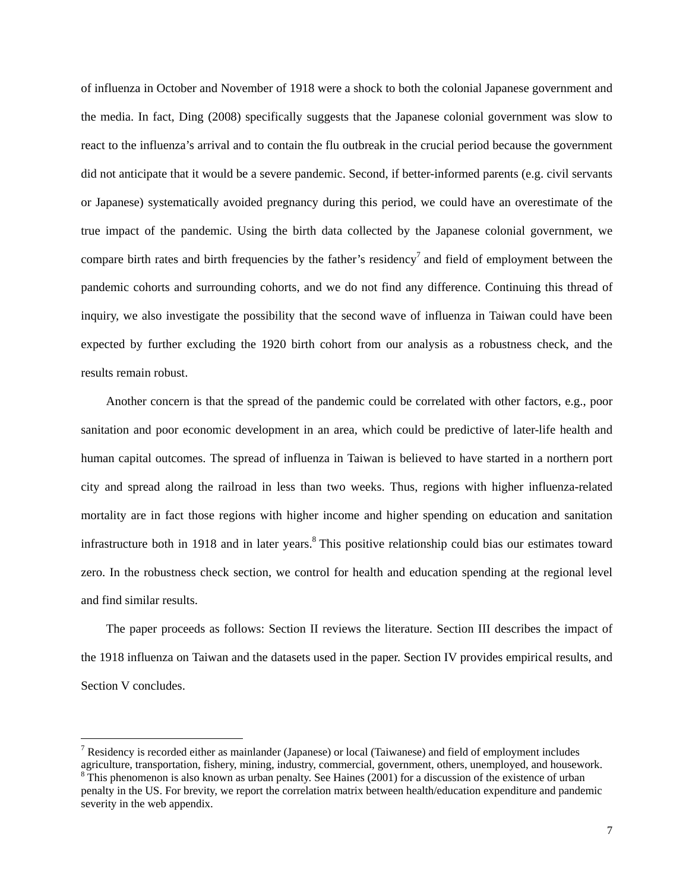of influenza in October and November of 1918 were a shock to both the colonial Japanese government and the media. In fact, Ding (2008) specifically suggests that the Japanese colonial government was slow to react to the influenza's arrival and to contain the flu outbreak in the crucial period because the government did not anticipate that it would be a severe pandemic. Second, if better-informed parents (e.g. civil servants or Japanese) systematically avoided pregnancy during this period, we could have an overestimate of the true impact of the pandemic. Using the birth data collected by the Japanese colonial government, we compare birth rates and birth frequencies by the father's residency<sup>7</sup> and field of employment between the pandemic cohorts and surrounding cohorts, and we do not find any difference. Continuing this thread of inquiry, we also investigate the possibility that the second wave of influenza in Taiwan could have been expected by further excluding the 1920 birth cohort from our analysis as a robustness check, and the results remain robust.

Another concern is that the spread of the pandemic could be correlated with other factors, e.g., poor sanitation and poor economic development in an area, which could be predictive of later-life health and human capital outcomes. The spread of influenza in Taiwan is believed to have started in a northern port city and spread along the railroad in less than two weeks. Thus, regions with higher influenza-related mortality are in fact those regions with higher income and higher spending on education and sanitation infrastructure both in 1918 and in later years.<sup>8</sup> This positive relationship could bias our estimates toward zero. In the robustness check section, we control for health and education spending at the regional level and find similar results.

The paper proceeds as follows: Section II reviews the literature. Section III describes the impact of the 1918 influenza on Taiwan and the datasets used in the paper. Section IV provides empirical results, and Section V concludes.

<sup>&</sup>lt;sup>7</sup> Residency is recorded either as mainlander (Japanese) or local (Taiwanese) and field of employment includes agriculture, transportation, fishery, mining, industry, commercial, government, others, unemployed, and housework.  $8$ <sup>8</sup>This phenomenon is also known as urban penalty. See Haines (2001) for a discussion of the existence of urban penalty in the US. For brevity, we report the correlation matrix between health/education expenditure and pandemic

severity in the web appendix.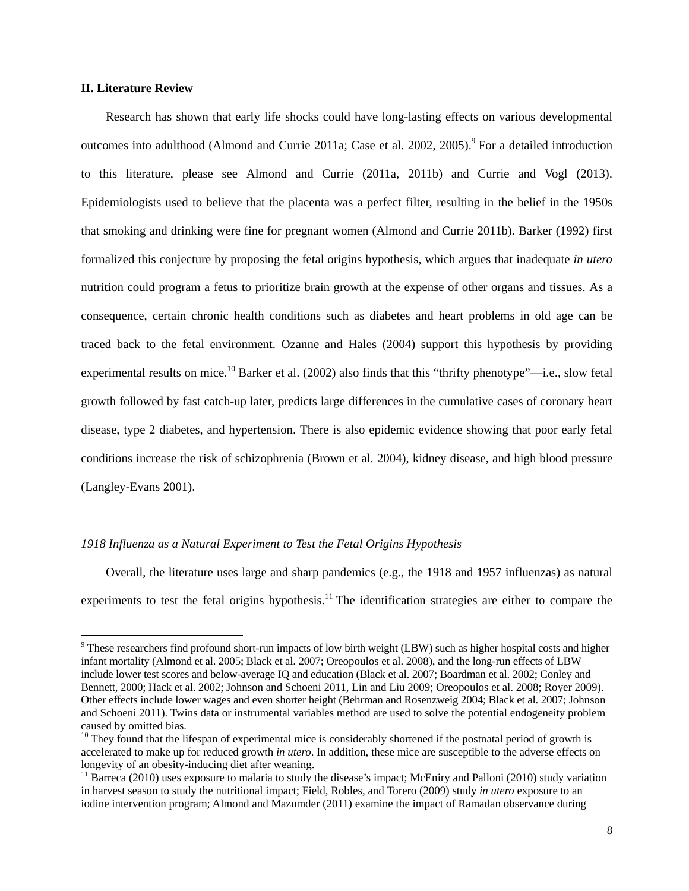#### **II. Literature Review**

Research has shown that early life shocks could have long-lasting effects on various developmental outcomes into adulthood (Almond and Currie 2011a; Case et al. 2002, 2005).<sup>9</sup> For a detailed introduction to this literature, please see Almond and Currie (2011a, 2011b) and Currie and Vogl (2013). Epidemiologists used to believe that the placenta was a perfect filter, resulting in the belief in the 1950s that smoking and drinking were fine for pregnant women (Almond and Currie 2011b). Barker (1992) first formalized this conjecture by proposing the fetal origins hypothesis, which argues that inadequate *in utero* nutrition could program a fetus to prioritize brain growth at the expense of other organs and tissues. As a consequence, certain chronic health conditions such as diabetes and heart problems in old age can be traced back to the fetal environment. Ozanne and Hales (2004) support this hypothesis by providing experimental results on mice.<sup>10</sup> Barker et al. (2002) also finds that this "thrifty phenotype"—i.e., slow fetal growth followed by fast catch-up later, predicts large differences in the cumulative cases of coronary heart disease, type 2 diabetes, and hypertension. There is also epidemic evidence showing that poor early fetal conditions increase the risk of schizophrenia (Brown et al. 2004), kidney disease, and high blood pressure (Langley-Evans 2001).

#### *1918 Influenza as a Natural Experiment to Test the Fetal Origins Hypothesis*

Overall, the literature uses large and sharp pandemics (e.g., the 1918 and 1957 influenzas) as natural experiments to test the fetal origins hypothesis.<sup>11</sup> The identification strategies are either to compare the

 $9$  These researchers find profound short-run impacts of low birth weight (LBW) such as higher hospital costs and higher infant mortality (Almond et al. 2005; Black et al. 2007; Oreopoulos et al. 2008), and the long-run effects of LBW include lower test scores and below-average IQ and education (Black et al. 2007; Boardman et al. 2002; Conley and Bennett, 2000; Hack et al. 2002; Johnson and Schoeni 2011, Lin and Liu 2009; Oreopoulos et al. 2008; Royer 2009). Other effects include lower wages and even shorter height (Behrman and Rosenzweig 2004; Black et al. 2007; Johnson and Schoeni 2011). Twins data or instrumental variables method are used to solve the potential endogeneity problem caused by omitted bias.

 $10$  They found that the lifespan of experimental mice is considerably shortened if the postnatal period of growth is accelerated to make up for reduced growth *in utero*. In addition, these mice are susceptible to the adverse effects on longevity of an obesity-inducing diet after weaning.

<sup>&</sup>lt;sup>11</sup> Barreca (2010) uses exposure to malaria to study the disease's impact; McEniry and Palloni (2010) study variation in harvest season to study the nutritional impact; Field, Robles, and Torero (2009) study *in utero* exposure to an iodine intervention program; Almond and Mazumder (2011) examine the impact of Ramadan observance during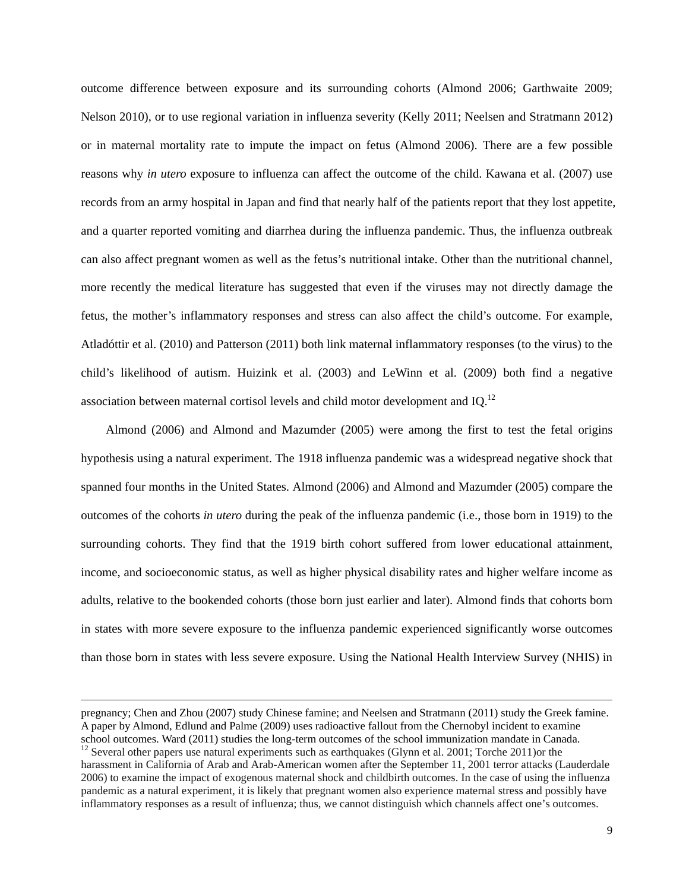outcome difference between exposure and its surrounding cohorts (Almond 2006; Garthwaite 2009; Nelson 2010), or to use regional variation in influenza severity (Kelly 2011; Neelsen and Stratmann 2012) or in maternal mortality rate to impute the impact on fetus (Almond 2006). There are a few possible reasons why *in utero* exposure to influenza can affect the outcome of the child. Kawana et al. (2007) use records from an army hospital in Japan and find that nearly half of the patients report that they lost appetite, and a quarter reported vomiting and diarrhea during the influenza pandemic. Thus, the influenza outbreak can also affect pregnant women as well as the fetus's nutritional intake. Other than the nutritional channel, more recently the medical literature has suggested that even if the viruses may not directly damage the fetus, the mother's inflammatory responses and stress can also affect the child's outcome. For example, Atladóttir et al. (2010) and Patterson (2011) both link maternal inflammatory responses (to the virus) to the child's likelihood of autism. Huizink et al. (2003) and LeWinn et al. (2009) both find a negative association between maternal cortisol levels and child motor development and IQ.12

Almond (2006) and Almond and Mazumder (2005) were among the first to test the fetal origins hypothesis using a natural experiment. The 1918 influenza pandemic was a widespread negative shock that spanned four months in the United States. Almond (2006) and Almond and Mazumder (2005) compare the outcomes of the cohorts *in utero* during the peak of the influenza pandemic (i.e., those born in 1919) to the surrounding cohorts. They find that the 1919 birth cohort suffered from lower educational attainment, income, and socioeconomic status, as well as higher physical disability rates and higher welfare income as adults, relative to the bookended cohorts (those born just earlier and later). Almond finds that cohorts born in states with more severe exposure to the influenza pandemic experienced significantly worse outcomes than those born in states with less severe exposure. Using the National Health Interview Survey (NHIS) in

<u> 1989 - Andrea Santa Andrea Andrea Andrea Andrea Andrea Andrea Andrea Andrea Andrea Andrea Andrea Andrea Andr</u>

pregnancy; Chen and Zhou (2007) study Chinese famine; and Neelsen and Stratmann (2011) study the Greek famine. A paper by Almond, Edlund and Palme (2009) uses radioactive fallout from the Chernobyl incident to examine school outcomes. Ward (2011) studies the long-term outcomes of the school immunization mandate in Canada.  $12$  Several other papers use natural experiments such as earthquakes (Glynn et al. 2001; Torche 2011) or the harassment in California of Arab and Arab-American women after the September 11, 2001 terror attacks (Lauderdale 2006) to examine the impact of exogenous maternal shock and childbirth outcomes. In the case of using the influenza pandemic as a natural experiment, it is likely that pregnant women also experience maternal stress and possibly have inflammatory responses as a result of influenza; thus, we cannot distinguish which channels affect one's outcomes.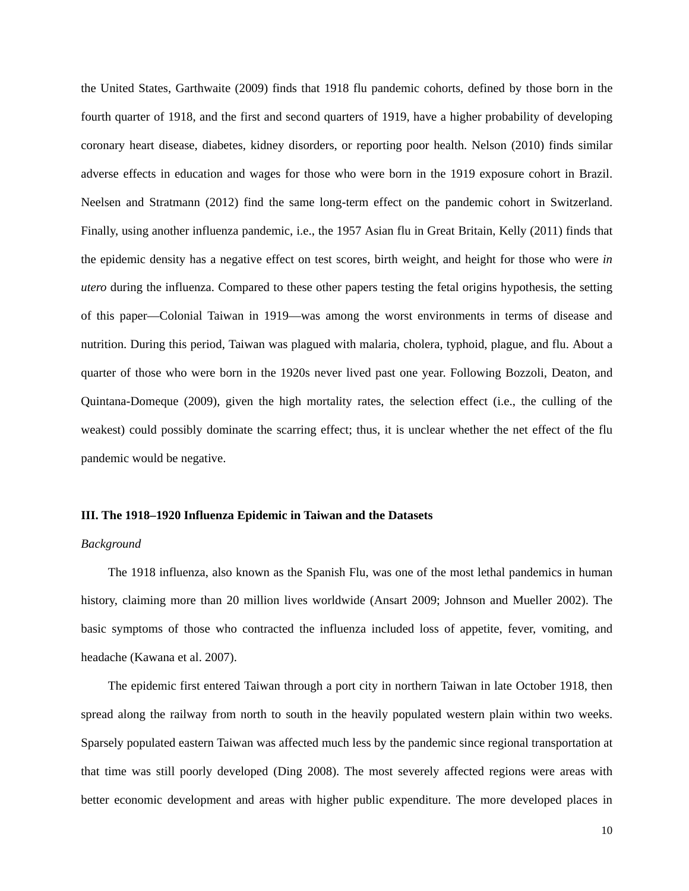the United States, Garthwaite (2009) finds that 1918 flu pandemic cohorts, defined by those born in the fourth quarter of 1918, and the first and second quarters of 1919, have a higher probability of developing coronary heart disease, diabetes, kidney disorders, or reporting poor health. Nelson (2010) finds similar adverse effects in education and wages for those who were born in the 1919 exposure cohort in Brazil. Neelsen and Stratmann (2012) find the same long-term effect on the pandemic cohort in Switzerland. Finally, using another influenza pandemic, i.e., the 1957 Asian flu in Great Britain, Kelly (2011) finds that the epidemic density has a negative effect on test scores, birth weight, and height for those who were *in utero* during the influenza. Compared to these other papers testing the fetal origins hypothesis, the setting of this paper—Colonial Taiwan in 1919—was among the worst environments in terms of disease and nutrition. During this period, Taiwan was plagued with malaria, cholera, typhoid, plague, and flu. About a quarter of those who were born in the 1920s never lived past one year. Following Bozzoli, Deaton, and Quintana-Domeque (2009), given the high mortality rates, the selection effect (i.e., the culling of the weakest) could possibly dominate the scarring effect; thus, it is unclear whether the net effect of the flu pandemic would be negative.

#### **III. The 1918–1920 Influenza Epidemic in Taiwan and the Datasets**

#### *Background*

The 1918 influenza, also known as the Spanish Flu, was one of the most lethal pandemics in human history, claiming more than 20 million lives worldwide (Ansart 2009; Johnson and Mueller 2002). The basic symptoms of those who contracted the influenza included loss of appetite, fever, vomiting, and headache (Kawana et al. 2007).

The epidemic first entered Taiwan through a port city in northern Taiwan in late October 1918, then spread along the railway from north to south in the heavily populated western plain within two weeks. Sparsely populated eastern Taiwan was affected much less by the pandemic since regional transportation at that time was still poorly developed (Ding 2008). The most severely affected regions were areas with better economic development and areas with higher public expenditure. The more developed places in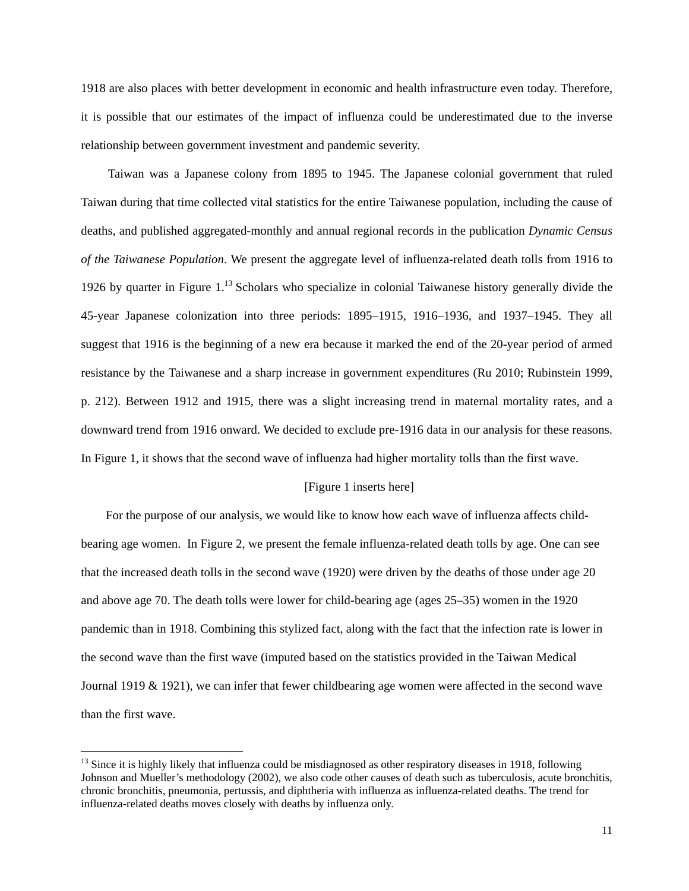1918 are also places with better development in economic and health infrastructure even today. Therefore, it is possible that our estimates of the impact of influenza could be underestimated due to the inverse relationship between government investment and pandemic severity.

Taiwan was a Japanese colony from 1895 to 1945. The Japanese colonial government that ruled Taiwan during that time collected vital statistics for the entire Taiwanese population, including the cause of deaths, and published aggregated-monthly and annual regional records in the publication *Dynamic Census of the Taiwanese Population*. We present the aggregate level of influenza-related death tolls from 1916 to 1926 by quarter in Figure  $1<sup>13</sup>$  Scholars who specialize in colonial Taiwanese history generally divide the 45-year Japanese colonization into three periods: 1895–1915, 1916–1936, and 1937–1945. They all suggest that 1916 is the beginning of a new era because it marked the end of the 20-year period of armed resistance by the Taiwanese and a sharp increase in government expenditures (Ru 2010; Rubinstein 1999, p. 212). Between 1912 and 1915, there was a slight increasing trend in maternal mortality rates, and a downward trend from 1916 onward. We decided to exclude pre-1916 data in our analysis for these reasons. In Figure 1, it shows that the second wave of influenza had higher mortality tolls than the first wave.

#### [Figure 1 inserts here]

For the purpose of our analysis, we would like to know how each wave of influenza affects childbearing age women. In Figure 2, we present the female influenza-related death tolls by age. One can see that the increased death tolls in the second wave (1920) were driven by the deaths of those under age 20 and above age 70. The death tolls were lower for child-bearing age (ages 25–35) women in the 1920 pandemic than in 1918. Combining this stylized fact, along with the fact that the infection rate is lower in the second wave than the first wave (imputed based on the statistics provided in the Taiwan Medical Journal 1919 & 1921), we can infer that fewer childbearing age women were affected in the second wave than the first wave.

 $<sup>13</sup>$  Since it is highly likely that influenza could be misdiagnosed as other respiratory diseases in 1918, following</sup> Johnson and Mueller's methodology (2002), we also code other causes of death such as tuberculosis, acute bronchitis, chronic bronchitis, pneumonia, pertussis, and diphtheria with influenza as influenza-related deaths. The trend for influenza-related deaths moves closely with deaths by influenza only.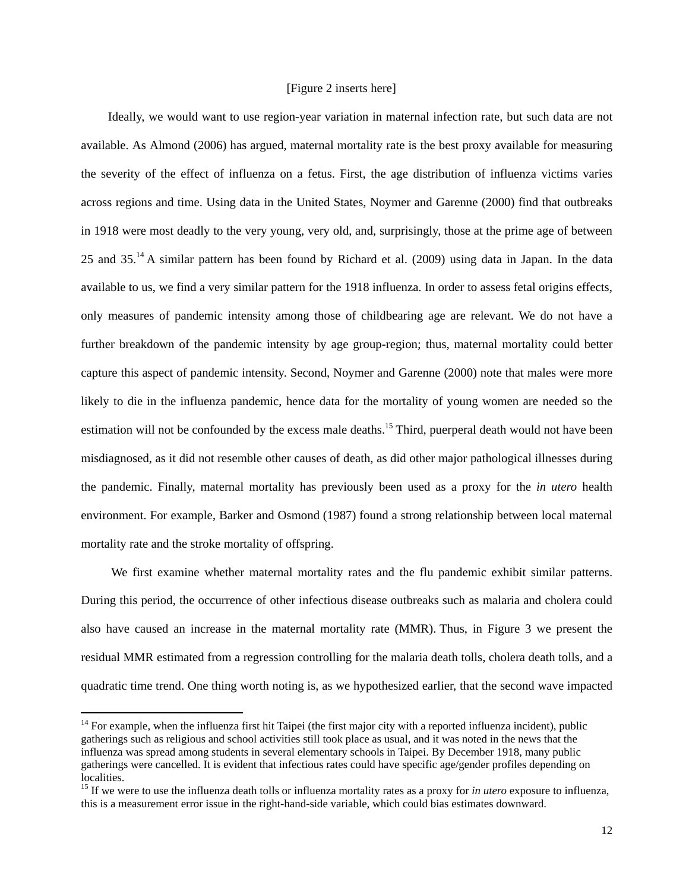#### [Figure 2 inserts here]

Ideally, we would want to use region-year variation in maternal infection rate, but such data are not available. As Almond (2006) has argued, maternal mortality rate is the best proxy available for measuring the severity of the effect of influenza on a fetus. First, the age distribution of influenza victims varies across regions and time. Using data in the United States, Noymer and Garenne (2000) find that outbreaks in 1918 were most deadly to the very young, very old, and, surprisingly, those at the prime age of between 25 and 35.14 A similar pattern has been found by Richard et al. (2009) using data in Japan. In the data available to us, we find a very similar pattern for the 1918 influenza. In order to assess fetal origins effects, only measures of pandemic intensity among those of childbearing age are relevant. We do not have a further breakdown of the pandemic intensity by age group-region; thus, maternal mortality could better capture this aspect of pandemic intensity. Second, Noymer and Garenne (2000) note that males were more likely to die in the influenza pandemic, hence data for the mortality of young women are needed so the estimation will not be confounded by the excess male deaths.<sup>15</sup> Third, puerperal death would not have been misdiagnosed, as it did not resemble other causes of death, as did other major pathological illnesses during the pandemic. Finally, maternal mortality has previously been used as a proxy for the *in utero* health environment. For example, Barker and Osmond (1987) found a strong relationship between local maternal mortality rate and the stroke mortality of offspring.

We first examine whether maternal mortality rates and the flu pandemic exhibit similar patterns. During this period, the occurrence of other infectious disease outbreaks such as malaria and cholera could also have caused an increase in the maternal mortality rate (MMR). Thus, in Figure 3 we present the residual MMR estimated from a regression controlling for the malaria death tolls, cholera death tolls, and a quadratic time trend. One thing worth noting is, as we hypothesized earlier, that the second wave impacted

 $14$  For example, when the influenza first hit Taipei (the first major city with a reported influenza incident), public gatherings such as religious and school activities still took place as usual, and it was noted in the news that the influenza was spread among students in several elementary schools in Taipei. By December 1918, many public gatherings were cancelled. It is evident that infectious rates could have specific age/gender profiles depending on localities.

<sup>&</sup>lt;sup>15</sup> If we were to use the influenza death tolls or influenza mortality rates as a proxy for *in utero* exposure to influenza, this is a measurement error issue in the right-hand-side variable, which could bias estimates downward.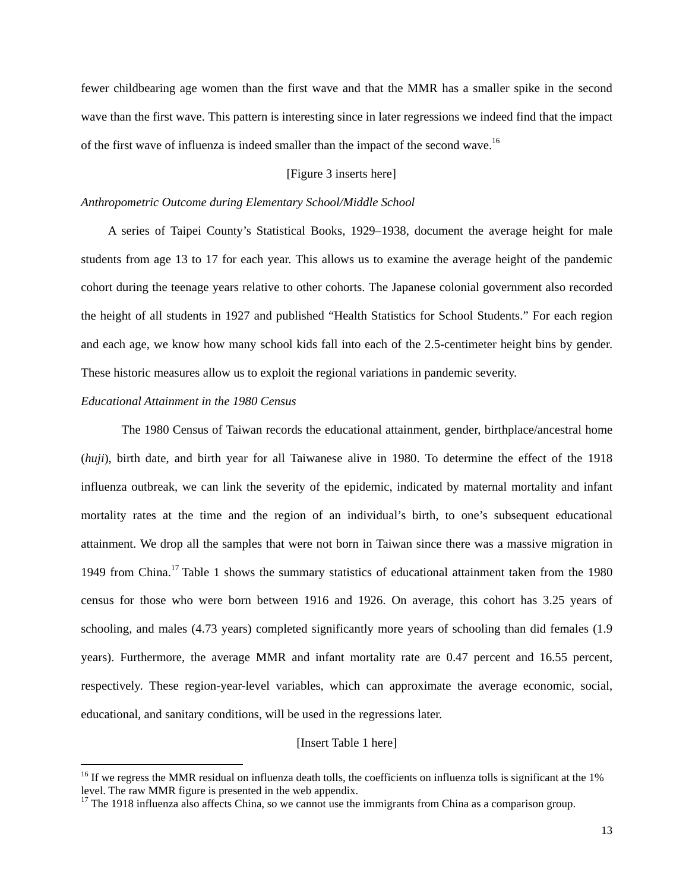fewer childbearing age women than the first wave and that the MMR has a smaller spike in the second wave than the first wave. This pattern is interesting since in later regressions we indeed find that the impact of the first wave of influenza is indeed smaller than the impact of the second wave.<sup>16</sup>

#### [Figure 3 inserts here]

#### *Anthropometric Outcome during Elementary School/Middle School*

A series of Taipei County's Statistical Books, 1929–1938, document the average height for male students from age 13 to 17 for each year. This allows us to examine the average height of the pandemic cohort during the teenage years relative to other cohorts. The Japanese colonial government also recorded the height of all students in 1927 and published "Health Statistics for School Students." For each region and each age, we know how many school kids fall into each of the 2.5-centimeter height bins by gender. These historic measures allow us to exploit the regional variations in pandemic severity.

#### *Educational Attainment in the 1980 Census*

 The 1980 Census of Taiwan records the educational attainment, gender, birthplace/ancestral home (*huji*), birth date, and birth year for all Taiwanese alive in 1980. To determine the effect of the 1918 influenza outbreak, we can link the severity of the epidemic, indicated by maternal mortality and infant mortality rates at the time and the region of an individual's birth, to one's subsequent educational attainment. We drop all the samples that were not born in Taiwan since there was a massive migration in 1949 from China.17 Table 1 shows the summary statistics of educational attainment taken from the 1980 census for those who were born between 1916 and 1926. On average, this cohort has 3.25 years of schooling, and males (4.73 years) completed significantly more years of schooling than did females (1.9 years). Furthermore, the average MMR and infant mortality rate are 0.47 percent and 16.55 percent, respectively. These region-year-level variables, which can approximate the average economic, social, educational, and sanitary conditions, will be used in the regressions later.

#### [Insert Table 1 here]

<sup>&</sup>lt;sup>16</sup> If we regress the MMR residual on influenza death tolls, the coefficients on influenza tolls is significant at the 1% level. The raw MMR figure is presented in the web appendix.

 $17$  The 1918 influenza also affects China, so we cannot use the immigrants from China as a comparison group.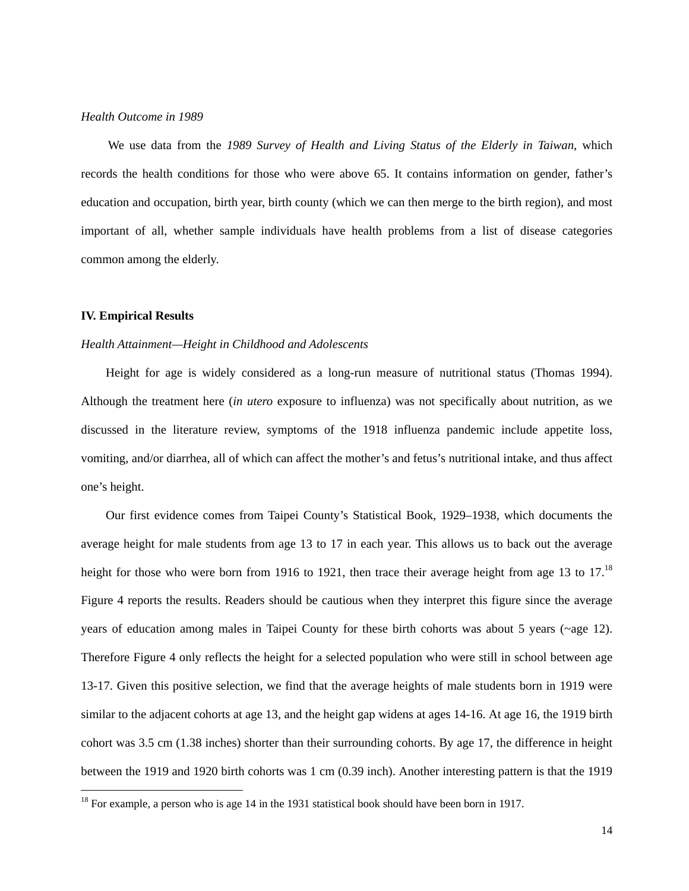#### *Health Outcome in 1989*

We use data from the *1989 Survey of Health and Living Status of the Elderly in Taiwan*, which records the health conditions for those who were above 65. It contains information on gender, father's education and occupation, birth year, birth county (which we can then merge to the birth region), and most important of all, whether sample individuals have health problems from a list of disease categories common among the elderly.

#### **IV. Empirical Results**

#### *Health Attainment—Height in Childhood and Adolescents*

Height for age is widely considered as a long-run measure of nutritional status (Thomas 1994). Although the treatment here (*in utero* exposure to influenza) was not specifically about nutrition, as we discussed in the literature review, symptoms of the 1918 influenza pandemic include appetite loss, vomiting, and/or diarrhea, all of which can affect the mother's and fetus's nutritional intake, and thus affect one's height.

Our first evidence comes from Taipei County's Statistical Book, 1929–1938, which documents the average height for male students from age 13 to 17 in each year. This allows us to back out the average height for those who were born from 1916 to 1921, then trace their average height from age 13 to 17.<sup>18</sup> Figure 4 reports the results. Readers should be cautious when they interpret this figure since the average years of education among males in Taipei County for these birth cohorts was about 5 years (~age 12). Therefore Figure 4 only reflects the height for a selected population who were still in school between age 13-17. Given this positive selection, we find that the average heights of male students born in 1919 were similar to the adjacent cohorts at age 13, and the height gap widens at ages 14-16. At age 16, the 1919 birth cohort was 3.5 cm (1.38 inches) shorter than their surrounding cohorts. By age 17, the difference in height between the 1919 and 1920 birth cohorts was 1 cm (0.39 inch). Another interesting pattern is that the 1919

 $18$  For example, a person who is age 14 in the 1931 statistical book should have been born in 1917.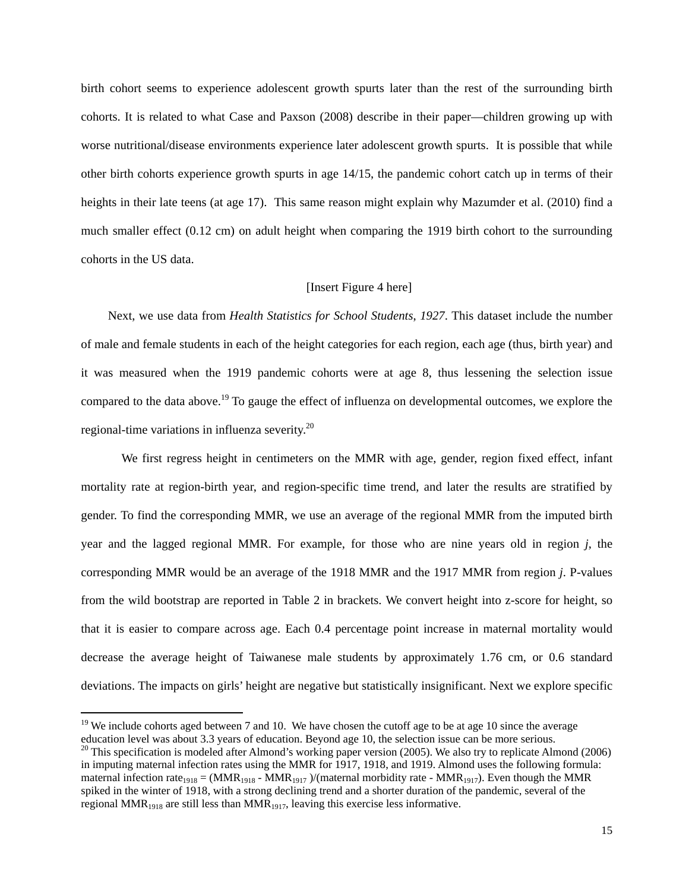birth cohort seems to experience adolescent growth spurts later than the rest of the surrounding birth cohorts. It is related to what Case and Paxson (2008) describe in their paper—children growing up with worse nutritional/disease environments experience later adolescent growth spurts. It is possible that while other birth cohorts experience growth spurts in age 14/15, the pandemic cohort catch up in terms of their heights in their late teens (at age 17). This same reason might explain why Mazumder et al. (2010) find a much smaller effect (0.12 cm) on adult height when comparing the 1919 birth cohort to the surrounding cohorts in the US data.

#### [Insert Figure 4 here]

Next, we use data from *Health Statistics for School Students*, *1927*. This dataset include the number of male and female students in each of the height categories for each region, each age (thus, birth year) and it was measured when the 1919 pandemic cohorts were at age 8, thus lessening the selection issue compared to the data above.<sup>19</sup> To gauge the effect of influenza on developmental outcomes, we explore the regional-time variations in influenza severity.20

 We first regress height in centimeters on the MMR with age, gender, region fixed effect, infant mortality rate at region-birth year, and region-specific time trend, and later the results are stratified by gender. To find the corresponding MMR, we use an average of the regional MMR from the imputed birth year and the lagged regional MMR. For example, for those who are nine years old in region *j*, the corresponding MMR would be an average of the 1918 MMR and the 1917 MMR from region *j*. P-values from the wild bootstrap are reported in Table 2 in brackets. We convert height into z-score for height, so that it is easier to compare across age. Each 0.4 percentage point increase in maternal mortality would decrease the average height of Taiwanese male students by approximately 1.76 cm, or 0.6 standard deviations. The impacts on girls' height are negative but statistically insignificant. Next we explore specific

 $19$  We include cohorts aged between 7 and 10. We have chosen the cutoff age to be at age 10 since the average

education level was about 3.3 years of education. Beyond age 10, the selection issue can be more serious.  $^{20}$  This specification is modeled after Almond's working paper version (2005). We also try to replicate Almond ( in imputing maternal infection rates using the MMR for 1917, 1918, and 1919. Almond uses the following formula: maternal infection rate<sub>1918</sub> = (MMR<sub>1918</sub> - MMR<sub>1917</sub>)/(maternal morbidity rate - MMR<sub>1917</sub>). Even though the MMR spiked in the winter of 1918, with a strong declining trend and a shorter duration of the pandemic, several of the regional MMR<sub>1918</sub> are still less than MMR<sub>1917</sub>, leaving this exercise less informative.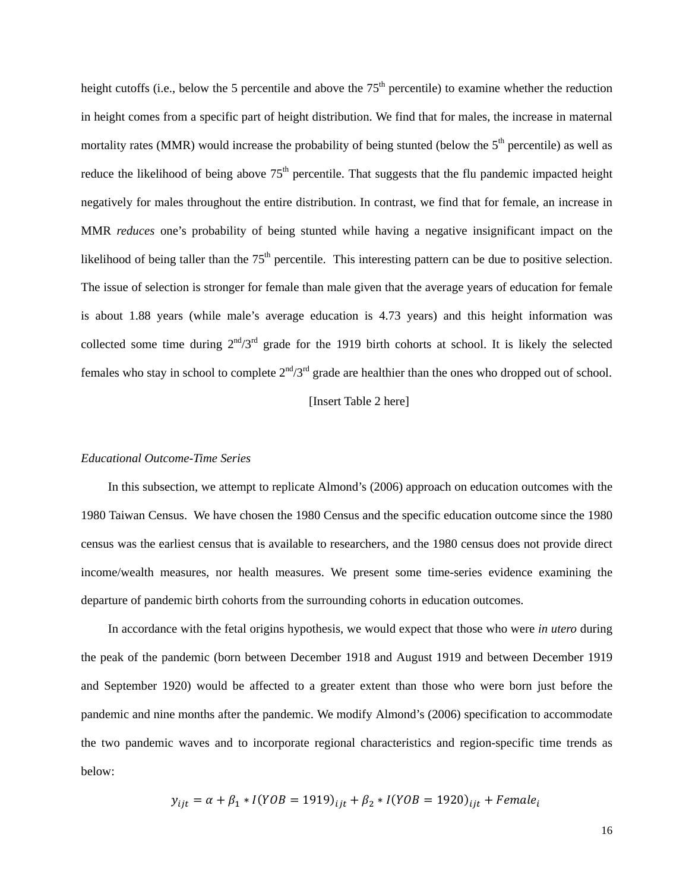height cutoffs (i.e., below the 5 percentile and above the  $75<sup>th</sup>$  percentile) to examine whether the reduction in height comes from a specific part of height distribution. We find that for males, the increase in maternal mortality rates (MMR) would increase the probability of being stunted (below the  $5<sup>th</sup>$  percentile) as well as reduce the likelihood of being above  $75<sup>th</sup>$  percentile. That suggests that the flu pandemic impacted height negatively for males throughout the entire distribution. In contrast, we find that for female, an increase in MMR *reduces* one's probability of being stunted while having a negative insignificant impact on the likelihood of being taller than the  $75<sup>th</sup>$  percentile. This interesting pattern can be due to positive selection. The issue of selection is stronger for female than male given that the average years of education for female is about 1.88 years (while male's average education is 4.73 years) and this height information was collected some time during  $2^{nd}/3^{rd}$  grade for the 1919 birth cohorts at school. It is likely the selected females who stay in school to complete  $2<sup>nd</sup>/3<sup>rd</sup>$  grade are healthier than the ones who dropped out of school.

#### [Insert Table 2 here]

#### *Educational Outcome-Time Series*

In this subsection, we attempt to replicate Almond's (2006) approach on education outcomes with the 1980 Taiwan Census. We have chosen the 1980 Census and the specific education outcome since the 1980 census was the earliest census that is available to researchers, and the 1980 census does not provide direct income/wealth measures, nor health measures. We present some time-series evidence examining the departure of pandemic birth cohorts from the surrounding cohorts in education outcomes.

In accordance with the fetal origins hypothesis, we would expect that those who were *in utero* during the peak of the pandemic (born between December 1918 and August 1919 and between December 1919 and September 1920) would be affected to a greater extent than those who were born just before the pandemic and nine months after the pandemic. We modify Almond's (2006) specification to accommodate the two pandemic waves and to incorporate regional characteristics and region-specific time trends as below:

$$
y_{ijt} = \alpha + \beta_1 * I(YOB = 1919)_{ijt} + \beta_2 * I(YOB = 1920)_{ijt} + Female_i
$$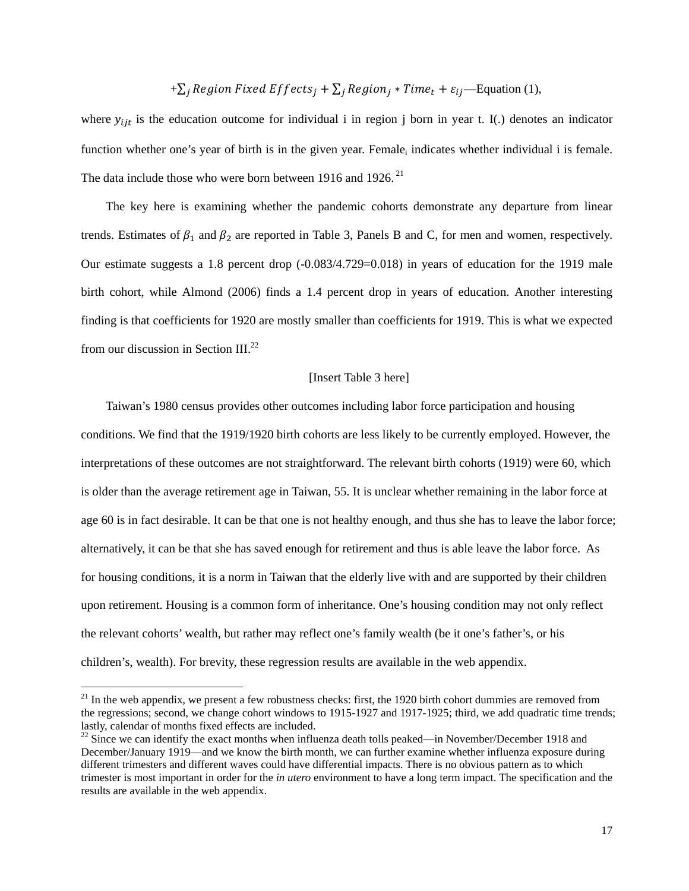$$
+\sum_j
$$
 Region Fixed Effects<sub>j</sub> +  $\sum_j$  Region<sub>j</sub> \* Time<sub>t</sub> +  $\varepsilon_{ij}$ —Equation (1),

where  $y_{ijt}$  is the education outcome for individual i in region j born in year t. I(.) denotes an indicator function whether one's year of birth is in the given year. Female<sub>i</sub> indicates whether individual i is female. The data include those who were born between 1916 and 1926.<sup>21</sup>

The key here is examining whether the pandemic cohorts demonstrate any departure from linear trends. Estimates of  $\beta_1$  and  $\beta_2$  are reported in Table 3, Panels B and C, for men and women, respectively. Our estimate suggests a 1.8 percent drop (-0.083/4.729=0.018) in years of education for the 1919 male birth cohort, while Almond (2006) finds a 1.4 percent drop in years of education. Another interesting finding is that coefficients for 1920 are mostly smaller than coefficients for 1919. This is what we expected from our discussion in Section III.22

#### [Insert Table 3 here]

Taiwan's 1980 census provides other outcomes including labor force participation and housing conditions. We find that the 1919/1920 birth cohorts are less likely to be currently employed. However, the interpretations of these outcomes are not straightforward. The relevant birth cohorts (1919) were 60, which is older than the average retirement age in Taiwan, 55. It is unclear whether remaining in the labor force at age 60 is in fact desirable. It can be that one is not healthy enough, and thus she has to leave the labor force; alternatively, it can be that she has saved enough for retirement and thus is able leave the labor force. As for housing conditions, it is a norm in Taiwan that the elderly live with and are supported by their children upon retirement. Housing is a common form of inheritance. One's housing condition may not only reflect the relevant cohorts' wealth, but rather may reflect one's family wealth (be it one's father's, or his children's, wealth). For brevity, these regression results are available in the web appendix.

 $21$  In the web appendix, we present a few robustness checks: first, the 1920 birth cohort dummies are removed from the regressions; second, we change cohort windows to 1915-1927 and 1917-1925; third, we add quadratic time trends; lastly, calendar of months fixed effects are included.

 $22$  Since we can identify the exact months when influenza death tolls peaked—in November/December 1918 and December/January 1919—and we know the birth month, we can further examine whether influenza exposure during different trimesters and different waves could have differential impacts. There is no obvious pattern as to which trimester is most important in order for the *in utero* environment to have a long term impact. The specification and the results are available in the web appendix.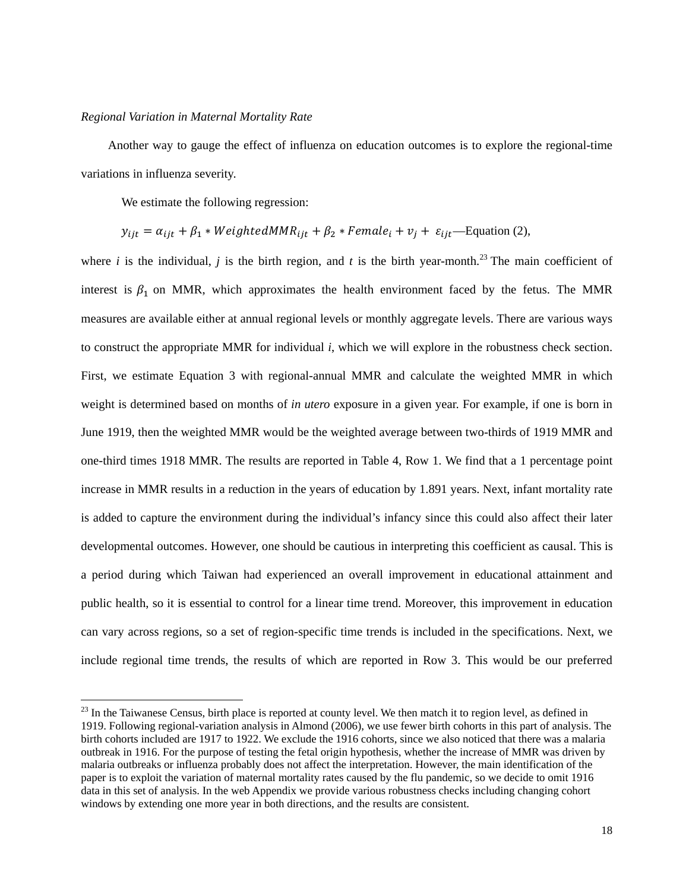#### *Regional Variation in Maternal Mortality Rate*

Another way to gauge the effect of influenza on education outcomes is to explore the regional-time variations in influenza severity.

We estimate the following regression:

$$
y_{ijt} = \alpha_{ijt} + \beta_1 * WeightedMMR_{ijt} + \beta_2 * Female_i + v_j + \varepsilon_{ijt}
$$
—Equation (2),

where *i* is the individual, *j* is the birth region, and *t* is the birth year-month.<sup>23</sup> The main coefficient of interest is  $\beta_1$  on MMR, which approximates the health environment faced by the fetus. The MMR measures are available either at annual regional levels or monthly aggregate levels. There are various ways to construct the appropriate MMR for individual *i*, which we will explore in the robustness check section. First, we estimate Equation 3 with regional-annual MMR and calculate the weighted MMR in which weight is determined based on months of *in utero* exposure in a given year. For example, if one is born in June 1919, then the weighted MMR would be the weighted average between two-thirds of 1919 MMR and one-third times 1918 MMR. The results are reported in Table 4, Row 1. We find that a 1 percentage point increase in MMR results in a reduction in the years of education by 1.891 years. Next, infant mortality rate is added to capture the environment during the individual's infancy since this could also affect their later developmental outcomes. However, one should be cautious in interpreting this coefficient as causal. This is a period during which Taiwan had experienced an overall improvement in educational attainment and public health, so it is essential to control for a linear time trend. Moreover, this improvement in education can vary across regions, so a set of region-specific time trends is included in the specifications. Next, we include regional time trends, the results of which are reported in Row 3. This would be our preferred

<sup>&</sup>lt;sup>23</sup> In the Taiwanese Census, birth place is reported at county level. We then match it to region level, as defined in 1919. Following regional-variation analysis in Almond (2006), we use fewer birth cohorts in this part of analysis. The birth cohorts included are 1917 to 1922. We exclude the 1916 cohorts, since we also noticed that there was a malaria outbreak in 1916. For the purpose of testing the fetal origin hypothesis, whether the increase of MMR was driven by malaria outbreaks or influenza probably does not affect the interpretation. However, the main identification of the paper is to exploit the variation of maternal mortality rates caused by the flu pandemic, so we decide to omit 1916 data in this set of analysis. In the web Appendix we provide various robustness checks including changing cohort windows by extending one more year in both directions, and the results are consistent.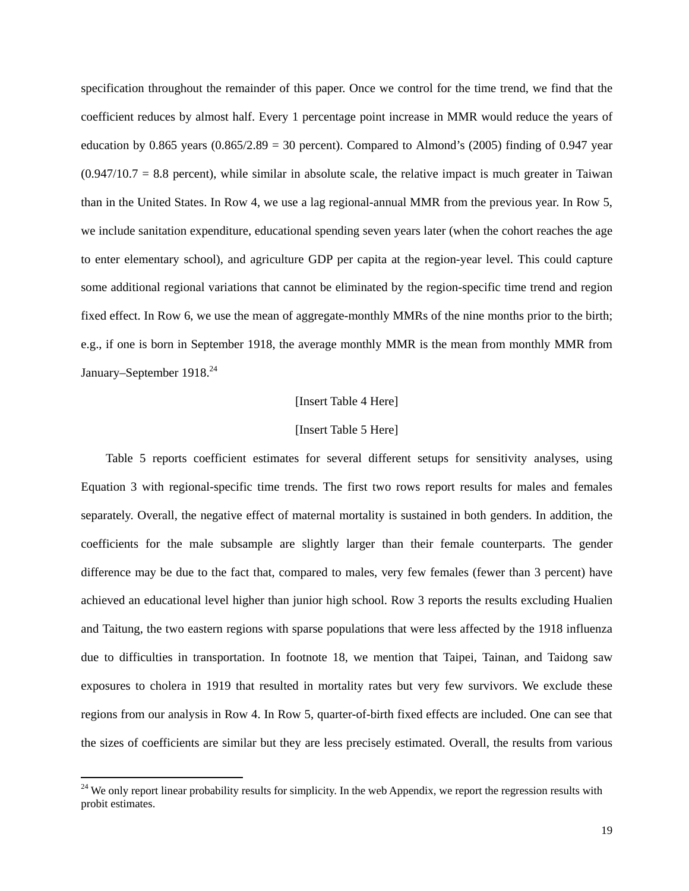specification throughout the remainder of this paper. Once we control for the time trend, we find that the coefficient reduces by almost half. Every 1 percentage point increase in MMR would reduce the years of education by 0.865 years  $(0.865/2.89 = 30$  percent). Compared to Almond's  $(2005)$  finding of 0.947 year  $(0.947/10.7 = 8.8$  percent), while similar in absolute scale, the relative impact is much greater in Taiwan than in the United States. In Row 4, we use a lag regional-annual MMR from the previous year. In Row 5, we include sanitation expenditure, educational spending seven years later (when the cohort reaches the age to enter elementary school), and agriculture GDP per capita at the region-year level. This could capture some additional regional variations that cannot be eliminated by the region-specific time trend and region fixed effect. In Row 6, we use the mean of aggregate-monthly MMRs of the nine months prior to the birth; e.g., if one is born in September 1918, the average monthly MMR is the mean from monthly MMR from January–September 1918.<sup>24</sup>

#### [Insert Table 4 Here]

#### [Insert Table 5 Here]

Table 5 reports coefficient estimates for several different setups for sensitivity analyses, using Equation 3 with regional-specific time trends. The first two rows report results for males and females separately. Overall, the negative effect of maternal mortality is sustained in both genders. In addition, the coefficients for the male subsample are slightly larger than their female counterparts. The gender difference may be due to the fact that, compared to males, very few females (fewer than 3 percent) have achieved an educational level higher than junior high school. Row 3 reports the results excluding Hualien and Taitung, the two eastern regions with sparse populations that were less affected by the 1918 influenza due to difficulties in transportation. In footnote 18, we mention that Taipei, Tainan, and Taidong saw exposures to cholera in 1919 that resulted in mortality rates but very few survivors. We exclude these regions from our analysis in Row 4. In Row 5, quarter-of-birth fixed effects are included. One can see that the sizes of coefficients are similar but they are less precisely estimated. Overall, the results from various

 $24$  We only report linear probability results for simplicity. In the web Appendix, we report the regression results with probit estimates.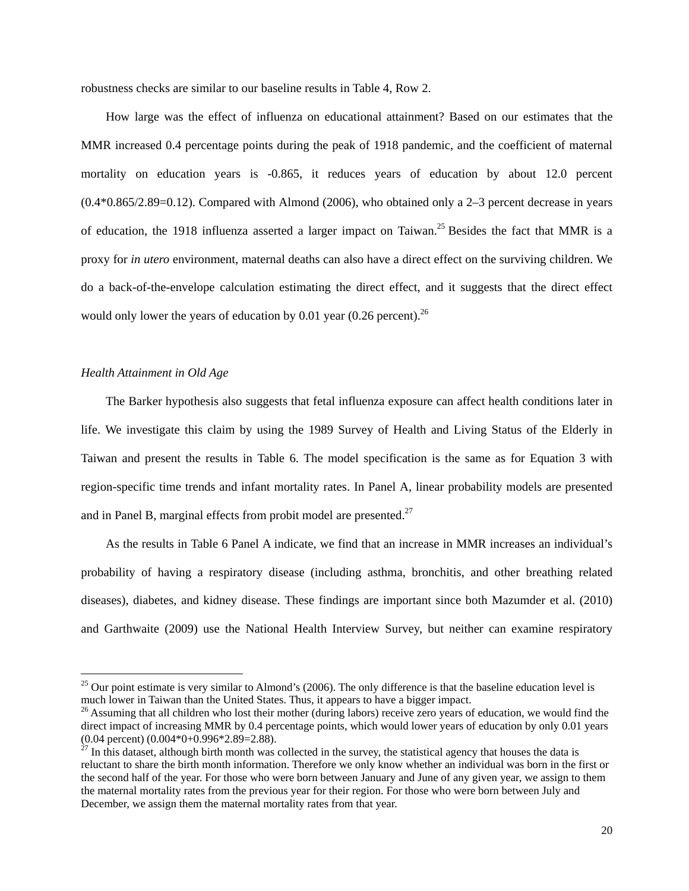robustness checks are similar to our baseline results in Table 4, Row 2.

How large was the effect of influenza on educational attainment? Based on our estimates that the MMR increased 0.4 percentage points during the peak of 1918 pandemic, and the coefficient of maternal mortality on education years is -0.865, it reduces years of education by about 12.0 percent  $(0.4*0.865/2.89=0.12)$ . Compared with Almond (2006), who obtained only a 2–3 percent decrease in years of education, the 1918 influenza asserted a larger impact on Taiwan.<sup>25</sup> Besides the fact that MMR is a proxy for *in utero* environment, maternal deaths can also have a direct effect on the surviving children. We do a back-of-the-envelope calculation estimating the direct effect, and it suggests that the direct effect would only lower the years of education by 0.01 year  $(0.26 \text{ percent})^{26}$ 

#### *Health Attainment in Old Age*

The Barker hypothesis also suggests that fetal influenza exposure can affect health conditions later in life. We investigate this claim by using the 1989 Survey of Health and Living Status of the Elderly in Taiwan and present the results in Table 6. The model specification is the same as for Equation 3 with region-specific time trends and infant mortality rates. In Panel A, linear probability models are presented and in Panel B, marginal effects from probit model are presented.<sup>27</sup>

As the results in Table 6 Panel A indicate, we find that an increase in MMR increases an individual's probability of having a respiratory disease (including asthma, bronchitis, and other breathing related diseases), diabetes, and kidney disease. These findings are important since both Mazumder et al. (2010) and Garthwaite (2009) use the National Health Interview Survey, but neither can examine respiratory

 $^{25}$  Our point estimate is very similar to Almond's (2006). The only difference is that the baseline education level is much lower in Taiwan than the United States. Thus, it appears to have a bigger impact.

<sup>&</sup>lt;sup>26</sup> Assuming that all children who lost their mother (during labors) receive zero years of education, we would find the direct impact of increasing MMR by 0.4 percentage points, which would lower years of education by only 0.01 years  $(0.04 \text{ percent}) (0.004*0+0.996*2.89=2.88).$ 

 $27$  In this dataset, although birth month was collected in the survey, the statistical agency that houses the data is reluctant to share the birth month information. Therefore we only know whether an individual was born in the first or the second half of the year. For those who were born between January and June of any given year, we assign to them the maternal mortality rates from the previous year for their region. For those who were born between July and December, we assign them the maternal mortality rates from that year.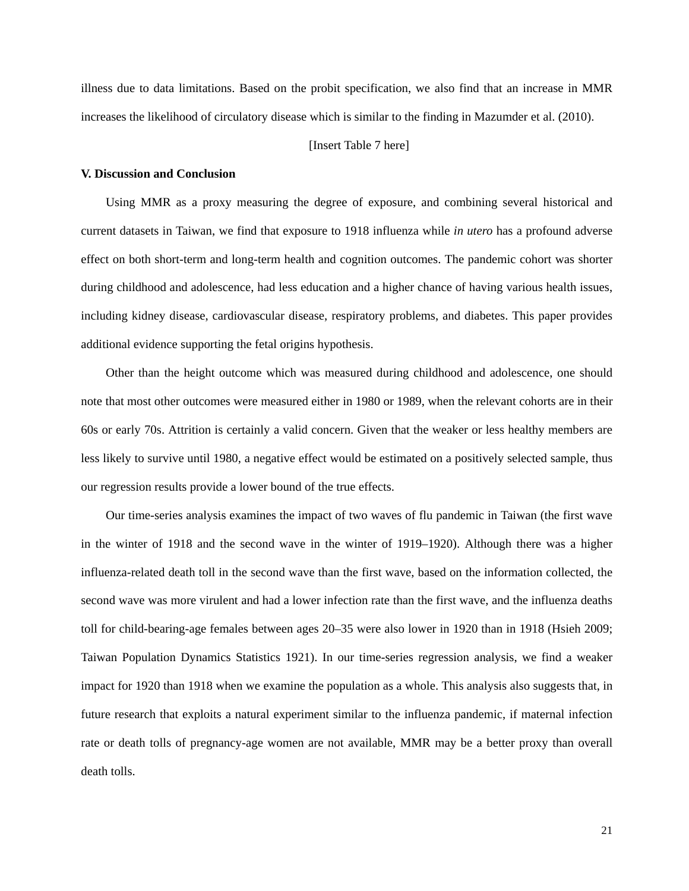illness due to data limitations. Based on the probit specification, we also find that an increase in MMR increases the likelihood of circulatory disease which is similar to the finding in Mazumder et al. (2010).

#### [Insert Table 7 here]

#### **V. Discussion and Conclusion**

Using MMR as a proxy measuring the degree of exposure, and combining several historical and current datasets in Taiwan, we find that exposure to 1918 influenza while *in utero* has a profound adverse effect on both short-term and long-term health and cognition outcomes. The pandemic cohort was shorter during childhood and adolescence, had less education and a higher chance of having various health issues, including kidney disease, cardiovascular disease, respiratory problems, and diabetes. This paper provides additional evidence supporting the fetal origins hypothesis.

Other than the height outcome which was measured during childhood and adolescence, one should note that most other outcomes were measured either in 1980 or 1989, when the relevant cohorts are in their 60s or early 70s. Attrition is certainly a valid concern. Given that the weaker or less healthy members are less likely to survive until 1980, a negative effect would be estimated on a positively selected sample, thus our regression results provide a lower bound of the true effects.

Our time-series analysis examines the impact of two waves of flu pandemic in Taiwan (the first wave in the winter of 1918 and the second wave in the winter of 1919–1920). Although there was a higher influenza-related death toll in the second wave than the first wave, based on the information collected, the second wave was more virulent and had a lower infection rate than the first wave, and the influenza deaths toll for child-bearing-age females between ages 20–35 were also lower in 1920 than in 1918 (Hsieh 2009; Taiwan Population Dynamics Statistics 1921). In our time-series regression analysis, we find a weaker impact for 1920 than 1918 when we examine the population as a whole. This analysis also suggests that, in future research that exploits a natural experiment similar to the influenza pandemic, if maternal infection rate or death tolls of pregnancy-age women are not available, MMR may be a better proxy than overall death tolls.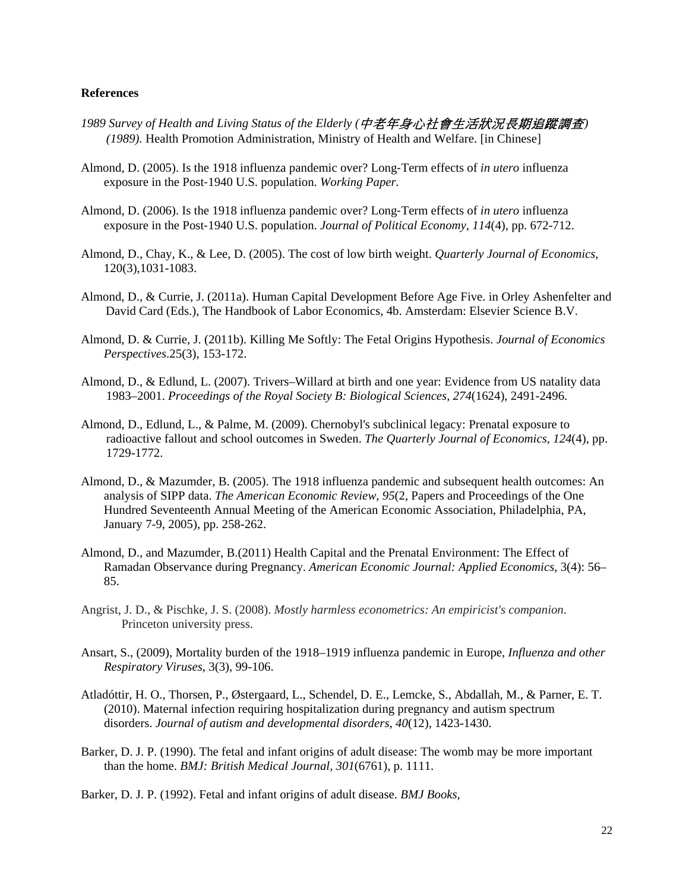#### **References**

- *1989 Survey of Health and Living Status of the Elderly (*中老年身心社會生活狀況長期追蹤調查*) (1989).* Health Promotion Administration, Ministry of Health and Welfare. [in Chinese]
- Almond, D. (2005). Is the 1918 influenza pandemic over? Long‐Term effects of *in utero* influenza exposure in the Post‐1940 U.S. population. *Working Paper.*
- Almond, D. (2006). Is the 1918 influenza pandemic over? Long‐Term effects of *in utero* influenza exposure in the Post‐1940 U.S. population. *Journal of Political Economy, 114*(4), pp. 672-712.
- Almond, D., Chay, K., & Lee, D. (2005). The cost of low birth weight. *Quarterly Journal of Economics*, 120(3),1031-1083.
- Almond, D., & Currie, J. (2011a). Human Capital Development Before Age Five. in Orley Ashenfelter and David Card (Eds.), The Handbook of Labor Economics, 4b. Amsterdam: Elsevier Science B.V.
- Almond, D. & Currie, J. (2011b). Killing Me Softly: The Fetal Origins Hypothesis. *Journal of Economics Perspectives*.25(3), 153-172.
- Almond, D., & Edlund, L. (2007). Trivers–Willard at birth and one year: Evidence from US natality data 1983–2001. *Proceedings of the Royal Society B: Biological Sciences, 274*(1624), 2491-2496.
- Almond, D., Edlund, L., & Palme, M. (2009). Chernobyl's subclinical legacy: Prenatal exposure to radioactive fallout and school outcomes in Sweden. *The Quarterly Journal of Economics, 124*(4), pp. 1729-1772.
- Almond, D., & Mazumder, B. (2005). The 1918 influenza pandemic and subsequent health outcomes: An analysis of SIPP data. *The American Economic Review, 95*(2, Papers and Proceedings of the One Hundred Seventeenth Annual Meeting of the American Economic Association, Philadelphia, PA, January 7-9, 2005), pp. 258-262.
- Almond, D., and Mazumder, B.(2011) Health Capital and the Prenatal Environment: The Effect of Ramadan Observance during Pregnancy. *American Economic Journal: Applied Economics*, 3(4): 56– 85.
- Angrist, J. D., & Pischke, J. S. (2008). *Mostly harmless econometrics: An empiricist's companion*. Princeton university press.
- Ansart, S., (2009), Mortality burden of the 1918–1919 influenza pandemic in Europe, *Influenza and other Respiratory Viruses*, 3(3), 99-106.
- Atladóttir, H. O., Thorsen, P., Østergaard, L., Schendel, D. E., Lemcke, S., Abdallah, M., & Parner, E. T. (2010). Maternal infection requiring hospitalization during pregnancy and autism spectrum disorders. *Journal of autism and developmental disorders*, *40*(12), 1423-1430.
- Barker, D. J. P. (1990). The fetal and infant origins of adult disease: The womb may be more important than the home. *BMJ: British Medical Journal, 301*(6761), p. 1111.

Barker, D. J. P. (1992). Fetal and infant origins of adult disease. *BMJ Books,*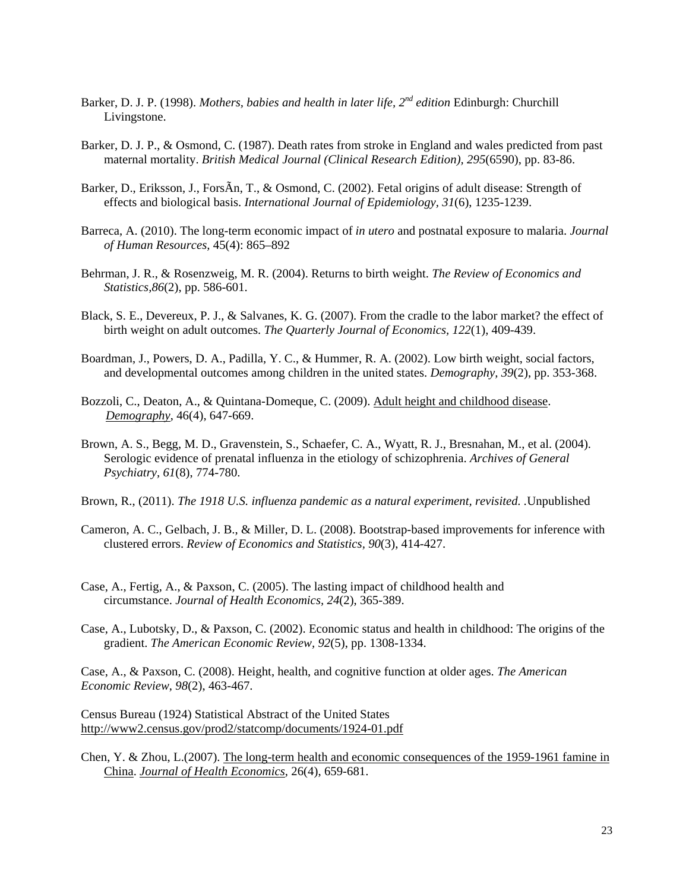- Barker, D. J. P. (1998). *Mothers, babies and health in later life, 2nd edition* Edinburgh: Churchill Livingstone.
- Barker, D. J. P., & Osmond, C. (1987). Death rates from stroke in England and wales predicted from past maternal mortality. *British Medical Journal (Clinical Research Edition), 295*(6590), pp. 83-86.
- Barker, D., Eriksson, J., ForsÃn, T., & Osmond, C. (2002). Fetal origins of adult disease: Strength of effects and biological basis. *International Journal of Epidemiology, 31*(6), 1235-1239.
- Barreca, A. (2010). The long-term economic impact of *in utero* and postnatal exposure to malaria. *Journal of Human Resources,* 45(4): 865–892
- Behrman, J. R., & Rosenzweig, M. R. (2004). Returns to birth weight. *The Review of Economics and Statistics,86*(2), pp. 586-601.
- Black, S. E., Devereux, P. J., & Salvanes, K. G. (2007). From the cradle to the labor market? the effect of birth weight on adult outcomes. *The Quarterly Journal of Economics, 122*(1), 409-439.
- Boardman, J., Powers, D. A., Padilla, Y. C., & Hummer, R. A. (2002). Low birth weight, social factors, and developmental outcomes among children in the united states. *Demography, 39*(2), pp. 353-368.
- Bozzoli, C., Deaton, A., & Quintana-Domeque, C. (2009). Adult height and childhood disease. *Demography*, 46(4), 647-669.
- Brown, A. S., Begg, M. D., Gravenstein, S., Schaefer, C. A., Wyatt, R. J., Bresnahan, M., et al. (2004). Serologic evidence of prenatal influenza in the etiology of schizophrenia. *Archives of General Psychiatry, 61*(8), 774-780.
- Brown, R., (2011). *The 1918 U.S. influenza pandemic as a natural experiment, revisited. .*Unpublished
- Cameron, A. C., Gelbach, J. B., & Miller, D. L. (2008). Bootstrap-based improvements for inference with clustered errors. *Review of Economics and Statistics, 90*(3), 414-427.
- Case, A., Fertig, A., & Paxson, C. (2005). The lasting impact of childhood health and circumstance. *Journal of Health Economics, 24*(2), 365-389.
- Case, A., Lubotsky, D., & Paxson, C. (2002). Economic status and health in childhood: The origins of the gradient. *The American Economic Review, 92*(5), pp. 1308-1334.

Case, A., & Paxson, C. (2008). Height, health, and cognitive function at older ages. *The American Economic Review*, *98*(2), 463-467.

Census Bureau (1924) Statistical Abstract of the United States http://www2.census.gov/prod2/statcomp/documents/1924-01.pdf

Chen, Y. & Zhou, L.(2007). The long-term health and economic consequences of the 1959-1961 famine in China. *Journal of Health Economics*, 26(4), 659-681.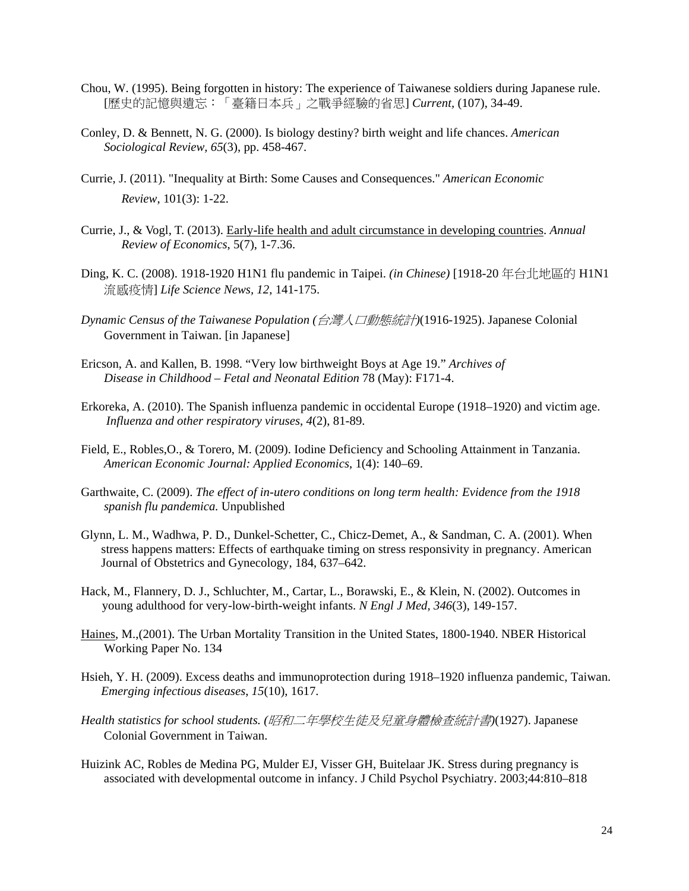- Chou, W. (1995). Being forgotten in history: The experience of Taiwanese soldiers during Japanese rule. [歷史的記憶與遺忘:「臺籍日本兵」之戰爭經驗的省思] *Current,* (107), 34-49.
- Conley, D. & Bennett, N. G. (2000). Is biology destiny? birth weight and life chances. *American Sociological Review, 65*(3), pp. 458-467.
- Currie, J. (2011). "Inequality at Birth: Some Causes and Consequences." *American Economic Review*, 101(3): 1-22.
- Currie, J., & Vogl, T. (2013). Early-life health and adult circumstance in developing countries. *Annual Review of Economics*, 5(7), 1-7.36.
- Ding, K. C. (2008). 1918-1920 H1N1 flu pandemic in Taipei. *(in Chinese)* [1918-20 年台北地區的 H1N1 流感疫情] *Life Science News, 12*, 141-175.
- *Dynamic Census of the Taiwanese Population (*台灣人口動態統計*)*(1916-1925). Japanese Colonial Government in Taiwan. [in Japanese]
- Ericson, A. and Kallen, B. 1998. "Very low birthweight Boys at Age 19." *Archives of Disease in Childhood – Fetal and Neonatal Edition* 78 (May): F171-4.
- Erkoreka, A. (2010). The Spanish influenza pandemic in occidental Europe (1918–1920) and victim age. *Influenza and other respiratory viruses*, *4*(2), 81-89.
- Field, E., Robles,O., & Torero, M. (2009). Iodine Deficiency and Schooling Attainment in Tanzania. *American Economic Journal: Applied Economics*, 1(4): 140–69.
- Garthwaite, C. (2009). *The effect of in-utero conditions on long term health: Evidence from the 1918 spanish flu pandemica.* Unpublished
- Glynn, L. M., Wadhwa, P. D., Dunkel-Schetter, C., Chicz-Demet, A., & Sandman, C. A. (2001). When stress happens matters: Effects of earthquake timing on stress responsivity in pregnancy. American Journal of Obstetrics and Gynecology, 184, 637–642.
- Hack, M., Flannery, D. J., Schluchter, M., Cartar, L., Borawski, E., & Klein, N. (2002). Outcomes in young adulthood for very-low-birth-weight infants. *N Engl J Med, 346*(3), 149-157.
- Haines, M.,(2001). The Urban Mortality Transition in the United States, 1800-1940. NBER Historical Working Paper No. 134
- Hsieh, Y. H. (2009). Excess deaths and immunoprotection during 1918–1920 influenza pandemic, Taiwan. *Emerging infectious diseases*, *15*(10), 1617.
- *Health statistics for school students. (*昭和二年學校生徒及兒童身體檢查統計書*)*(1927). Japanese Colonial Government in Taiwan.
- Huizink AC, Robles de Medina PG, Mulder EJ, Visser GH, Buitelaar JK. Stress during pregnancy is associated with developmental outcome in infancy. J Child Psychol Psychiatry. 2003;44:810–818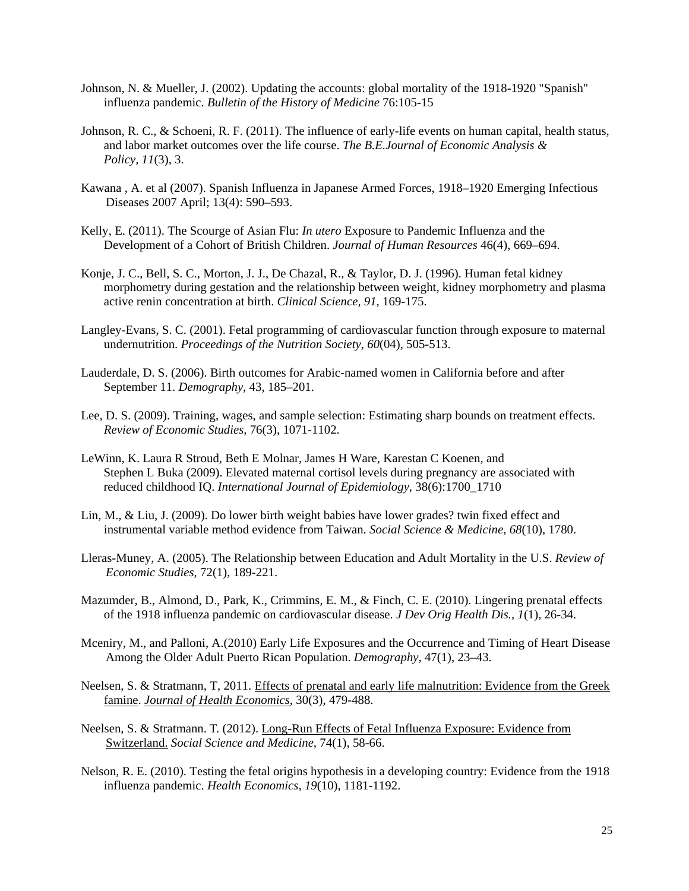- Johnson, N. & Mueller, J. (2002). Updating the accounts: global mortality of the 1918-1920 "Spanish" influenza pandemic. *Bulletin of the History of Medicine* 76:105-15
- Johnson, R. C., & Schoeni, R. F. (2011). The influence of early-life events on human capital, health status, and labor market outcomes over the life course. *The B.E.Journal of Economic Analysis & Policy, 11*(3), 3.
- Kawana , A. et al (2007). Spanish Influenza in Japanese Armed Forces, 1918–1920 Emerging Infectious Diseases 2007 April; 13(4): 590–593.
- Kelly, E. (2011). The Scourge of Asian Flu: *In utero* Exposure to Pandemic Influenza and the Development of a Cohort of British Children. *Journal of Human Resources* 46(4), 669–694.
- Konje, J. C., Bell, S. C., Morton, J. J., De Chazal, R., & Taylor, D. J. (1996). Human fetal kidney morphometry during gestation and the relationship between weight, kidney morphometry and plasma active renin concentration at birth. *Clinical Science, 91*, 169-175.
- Langley-Evans, S. C. (2001). Fetal programming of cardiovascular function through exposure to maternal undernutrition. *Proceedings of the Nutrition Society, 60*(04), 505-513.
- Lauderdale, D. S. (2006). Birth outcomes for Arabic-named women in California before and after September 11. *Demography*, 43, 185–201.
- Lee, D. S. (2009). Training, wages, and sample selection: Estimating sharp bounds on treatment effects. *Review of Economic Studies*, 76(3), 1071-1102.
- LeWinn, K. Laura R Stroud, Beth E Molnar, James H Ware, Karestan C Koenen, and Stephen L Buka (2009). Elevated maternal cortisol levels during pregnancy are associated with reduced childhood IQ. *International Journal of Epidemiology*, 38(6):1700\_1710
- Lin, M., & Liu, J. (2009). Do lower birth weight babies have lower grades? twin fixed effect and instrumental variable method evidence from Taiwan. *Social Science & Medicine, 68*(10), 1780.
- Lleras-Muney, A. (2005). The Relationship between Education and Adult Mortality in the U.S. *Review of Economic Studies*, 72(1), 189-221.
- Mazumder, B., Almond, D., Park, K., Crimmins, E. M., & Finch, C. E. (2010). Lingering prenatal effects of the 1918 influenza pandemic on cardiovascular disease. *J Dev Orig Health Dis., 1*(1), 26-34.
- Mceniry, M., and Palloni, A.(2010) Early Life Exposures and the Occurrence and Timing of Heart Disease Among the Older Adult Puerto Rican Population. *Demography*, 47(1), 23–43.
- Neelsen, S. & Stratmann, T, 2011. Effects of prenatal and early life malnutrition: Evidence from the Greek famine. *Journal of Health Economics*, 30(3), 479-488.
- Neelsen, S. & Stratmann. T. (2012). Long-Run Effects of Fetal Influenza Exposure: Evidence from Switzerland. *Social Science and Medicine*, 74(1), 58-66.
- Nelson, R. E. (2010). Testing the fetal origins hypothesis in a developing country: Evidence from the 1918 influenza pandemic. *Health Economics, 19*(10), 1181-1192.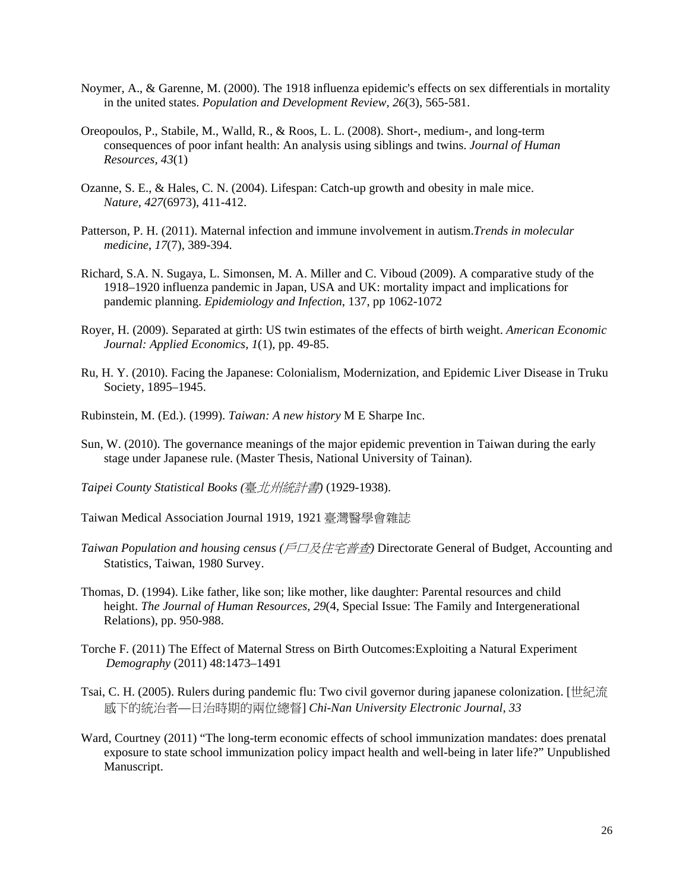- Noymer, A., & Garenne, M. (2000). The 1918 influenza epidemic's effects on sex differentials in mortality in the united states. *Population and Development Review, 26*(3), 565-581.
- Oreopoulos, P., Stabile, M., Walld, R., & Roos, L. L. (2008). Short-, medium-, and long-term consequences of poor infant health: An analysis using siblings and twins. *Journal of Human Resources, 43*(1)
- Ozanne, S. E., & Hales, C. N. (2004). Lifespan: Catch-up growth and obesity in male mice. *Nature, 427*(6973), 411-412.
- Patterson, P. H. (2011). Maternal infection and immune involvement in autism.*Trends in molecular medicine*, *17*(7), 389-394.
- Richard, S.A. N. Sugaya, L. Simonsen, M. A. Miller and C. Viboud (2009). A comparative study of the 1918–1920 influenza pandemic in Japan, USA and UK: mortality impact and implications for pandemic planning. *Epidemiology and Infection*, 137, pp 1062-1072
- Royer, H. (2009). Separated at girth: US twin estimates of the effects of birth weight. *American Economic Journal: Applied Economics, 1*(1), pp. 49-85.
- Ru, H. Y. (2010). Facing the Japanese: Colonialism, Modernization, and Epidemic Liver Disease in Truku Society, 1895–1945.
- Rubinstein, M. (Ed.). (1999). *Taiwan: A new history* M E Sharpe Inc.
- Sun, W. (2010). The governance meanings of the major epidemic prevention in Taiwan during the early stage under Japanese rule. (Master Thesis, National University of Tainan).
- *Taipei County Statistical Books (*臺北州統計書*)* (1929-1938).
- Taiwan Medical Association Journal 1919, 1921 臺灣醫學會雜誌
- *Taiwan Population and housing census (*戶口及住宅普查*)* Directorate General of Budget, Accounting and Statistics, Taiwan, 1980 Survey.
- Thomas, D. (1994). Like father, like son; like mother, like daughter: Parental resources and child height. *The Journal of Human Resources, 29*(4, Special Issue: The Family and Intergenerational Relations), pp. 950-988.
- Torche F. (2011) The Effect of Maternal Stress on Birth Outcomes:Exploiting a Natural Experiment *Demography* (2011) 48:1473–1491
- Tsai, C. H. (2005). Rulers during pandemic flu: Two civil governor during japanese colonization. [世紀流 感下的統治者—日治時期的兩位總督] *Chi-Nan University Electronic Journal, 33*
- Ward, Courtney (2011) "The long-term economic effects of school immunization mandates: does prenatal exposure to state school immunization policy impact health and well-being in later life?" Unpublished Manuscript.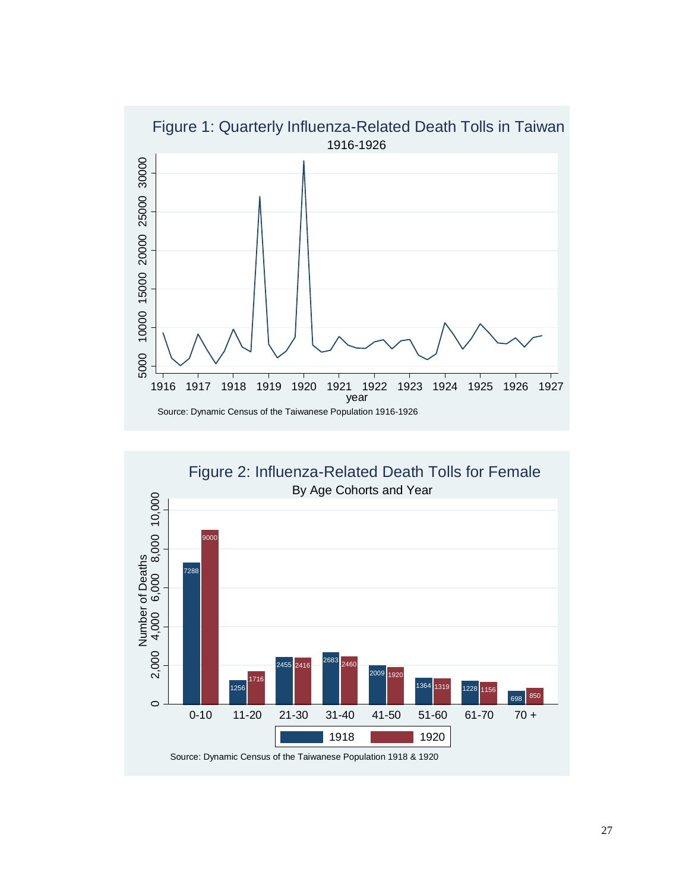

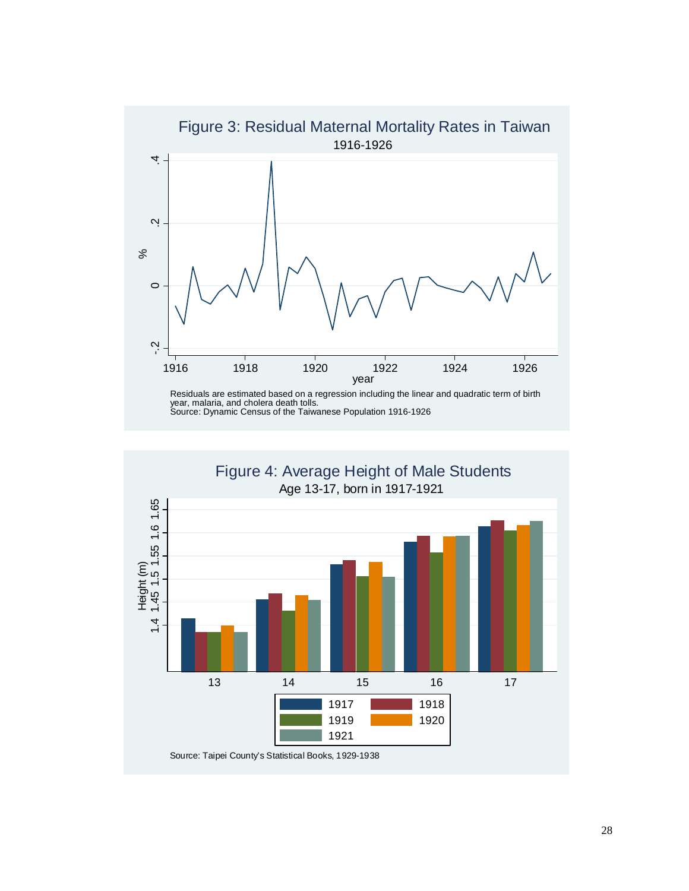

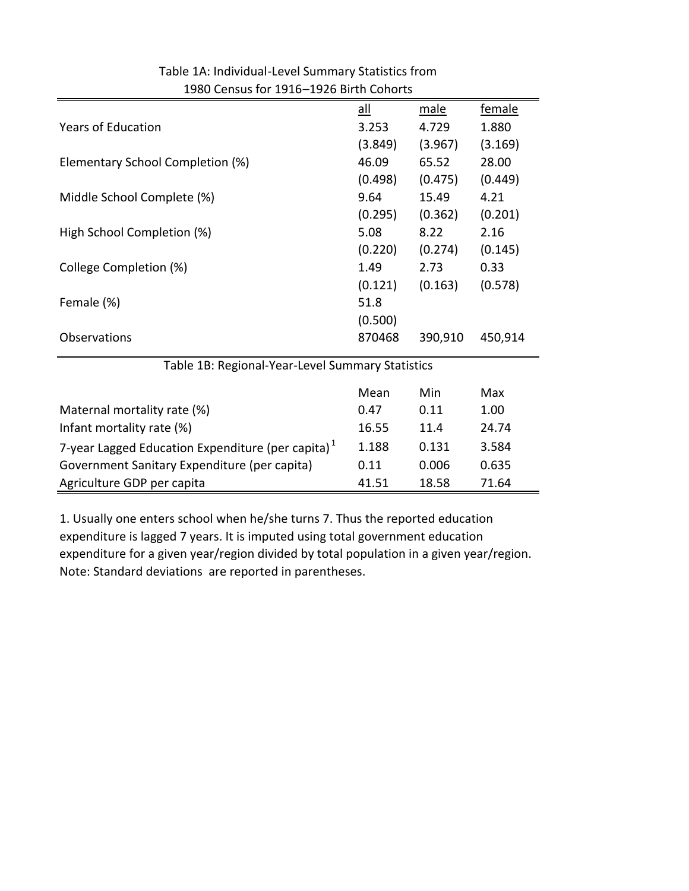|                                                      | $all$   | male    | female  |  |  |
|------------------------------------------------------|---------|---------|---------|--|--|
| <b>Years of Education</b>                            | 3.253   | 4.729   | 1.880   |  |  |
|                                                      | (3.849) | (3.967) | (3.169) |  |  |
| Elementary School Completion (%)                     | 46.09   | 65.52   | 28.00   |  |  |
|                                                      | (0.498) | (0.475) | (0.449) |  |  |
| Middle School Complete (%)                           | 9.64    | 15.49   | 4.21    |  |  |
|                                                      | (0.295) | (0.362) | (0.201) |  |  |
| High School Completion (%)                           | 5.08    | 8.22    | 2.16    |  |  |
|                                                      | (0.220) | (0.274) | (0.145) |  |  |
| College Completion (%)                               | 1.49    | 2.73    | 0.33    |  |  |
|                                                      | (0.121) | (0.163) | (0.578) |  |  |
| Female (%)                                           | 51.8    |         |         |  |  |
|                                                      | (0.500) |         |         |  |  |
| Observations                                         | 870468  | 390,910 | 450,914 |  |  |
| Table 1B: Regional-Year-Level Summary Statistics     |         |         |         |  |  |
|                                                      | Mean    | Min     | Max     |  |  |
| Maternal mortality rate (%)                          | 0.47    | 0.11    | 1.00    |  |  |
| Infant mortality rate (%)                            | 16.55   | 11.4    | 24.74   |  |  |
| 7-year Lagged Education Expenditure (per capita) $1$ | 1.188   | 0.131   | 3.584   |  |  |
| Government Sanitary Expenditure (per capita)         | 0.11    | 0.006   | 0.635   |  |  |
| Agriculture GDP per capita                           | 41.51   | 18.58   | 71.64   |  |  |

Table 1A: Individual‐Level Summary Statistics from 1980 Census for 1916–1926 Birth Cohorts

Note: Standard deviations are reported in parentheses. 1. Usually one enters school when he/she turns 7. Thus the reported education expenditure is lagged 7 years. It is imputed using total government education expenditure for a given year/region divided by total population in a given year/region.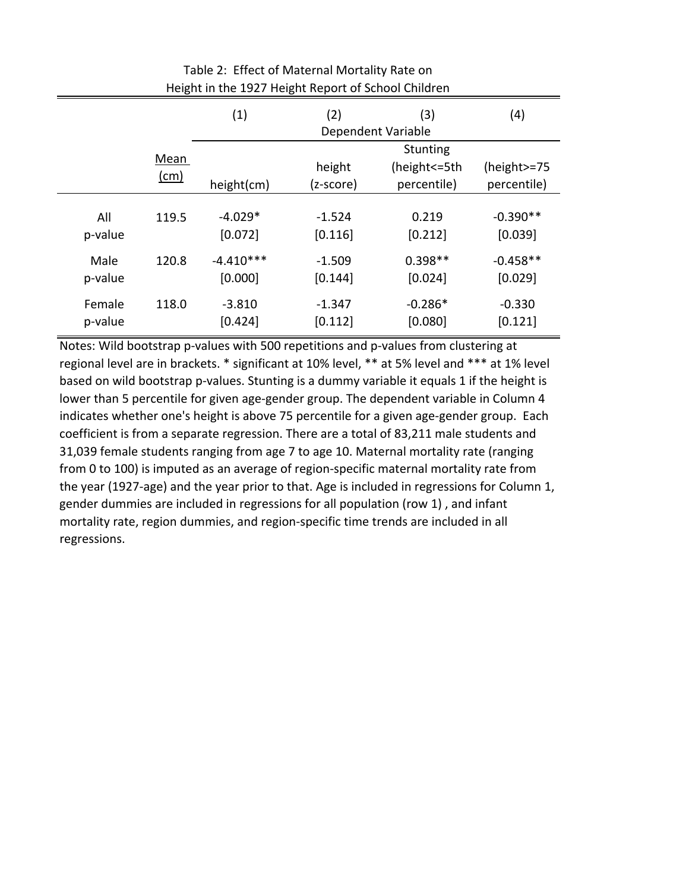| Preising the EDE? Preising helport of Serioor Crimatern |                     |             |                     |                                                  |                            |
|---------------------------------------------------------|---------------------|-------------|---------------------|--------------------------------------------------|----------------------------|
|                                                         |                     | (1)         | (4)                 |                                                  |                            |
|                                                         | Mean<br><u>(cm)</u> | height(cm)  | height<br>(z-score) | <b>Stunting</b><br>(height <= 5th<br>percentile) | (height>=75<br>percentile) |
| All                                                     | 119.5               | $-4.029*$   | $-1.524$            | 0.219                                            | $-0.390**$                 |
| p-value                                                 |                     | [0.072]     | [0.116]             | [0.212]                                          | [0.039]                    |
| Male                                                    | 120.8               | $-4.410***$ | $-1.509$            | $0.398**$                                        | $-0.458**$                 |
| p-value                                                 |                     | [0.000]     | [0.144]             | [0.024]                                          | [0.029]                    |
| Female                                                  | 118.0               | $-3.810$    | $-1.347$            | $-0.286*$                                        | $-0.330$                   |
| p-value                                                 |                     | [0.424]     | [0.112]             | [0.080]                                          | [0.121]                    |

### Table 2: Effect of Maternal Mortality Rate on Height in the 1927 Height Report of School Children

Notes: Wild bootstrap p‐values with 500 repetitions and p‐values from clustering at regional level are in brackets. \* significant at 10% level, \*\* at 5% level and \*\*\* at 1% level based on wild bootstrap p-values. Stunting is a dummy variable it equals 1 if the height is lower than 5 percentile for given age-gender group. The dependent variable in Column 4 indicates whether one's height is above 75 percentile for a given age‐gender group. Each coefficient is from a separate regression. There are a total of 83,211 male students and 31,039 female students ranging from age 7 to age 10. Maternal mortality rate (ranging from 0 to 100) is imputed as an average of region-specific maternal mortality rate from the year (1927‐age) and the year prior to that. Age is included in regressions for Column 1, gender dummies are included in regressions for all population (row 1) , and infant mortality rate, region dummies, and region‐specific time trends are included in all regressions.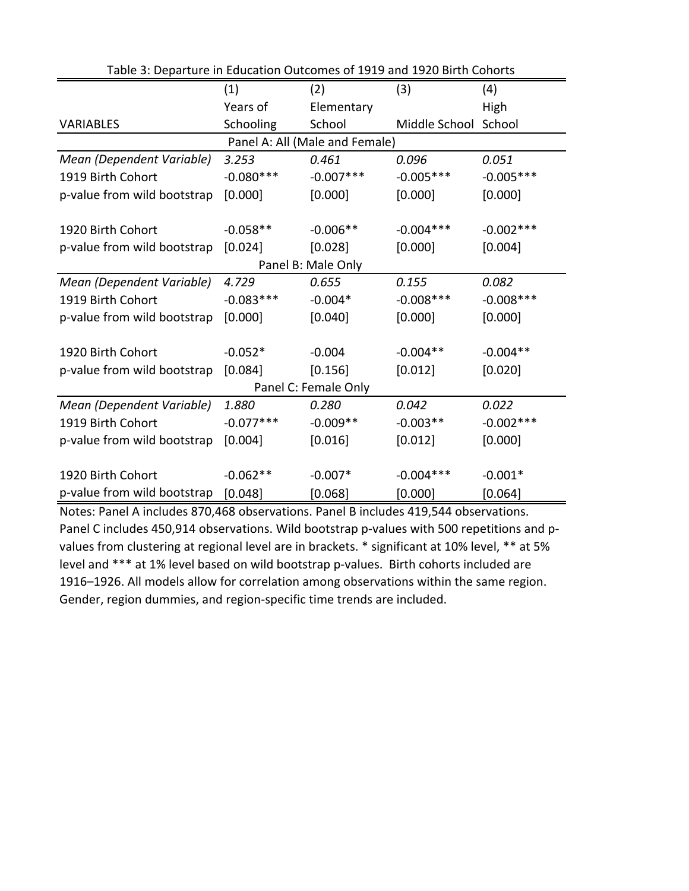| Table 3: Departure in Education Outcomes of 1919 and 1920 Birth Cohorts |             |                    |                      |              |  |  |  |  |
|-------------------------------------------------------------------------|-------------|--------------------|----------------------|--------------|--|--|--|--|
|                                                                         | (1)         | (2)                | (3)                  | (4)          |  |  |  |  |
|                                                                         | Years of    | Elementary         |                      | High         |  |  |  |  |
| <b>VARIABLES</b>                                                        | Schooling   | School             | Middle School School |              |  |  |  |  |
| Panel A: All (Male and Female)                                          |             |                    |                      |              |  |  |  |  |
| Mean (Dependent Variable)                                               | 3.253       | 0.461              | 0.096                | 0.051        |  |  |  |  |
| 1919 Birth Cohort                                                       | $-0.080***$ | $-0.007***$        | $-0.005***$          | $-0.005***$  |  |  |  |  |
| p-value from wild bootstrap                                             | [0.000]     | [0.000]            | [0.000]              | [0.000]      |  |  |  |  |
|                                                                         |             |                    |                      |              |  |  |  |  |
| 1920 Birth Cohort                                                       | $-0.058**$  | $-0.006**$         | $-0.004***$          | $-0.002$ *** |  |  |  |  |
| p-value from wild bootstrap                                             | [0.024]     | [0.028]            | [0.000]              | [0.004]      |  |  |  |  |
|                                                                         |             | Panel B: Male Only |                      |              |  |  |  |  |
| Mean (Dependent Variable)                                               | 4.729       | 0.655              | 0.155                | 0.082        |  |  |  |  |
| 1919 Birth Cohort                                                       | $-0.083***$ | $-0.004*$          | $-0.008$ ***         | $-0.008$ *** |  |  |  |  |
| p-value from wild bootstrap                                             | [0.000]     | [0.040]            | [0.000]              | [0.000]      |  |  |  |  |
| 1920 Birth Cohort                                                       | $-0.052*$   | $-0.004$           | $-0.004**$           | $-0.004**$   |  |  |  |  |
| p-value from wild bootstrap                                             | [0.084]     | [0.156]            | [0.012]              | [0.020]      |  |  |  |  |
|                                                                         |             |                    |                      |              |  |  |  |  |
| Panel C: Female Only                                                    |             |                    |                      |              |  |  |  |  |
| Mean (Dependent Variable)                                               | 1.880       | 0.280              | 0.042                | 0.022        |  |  |  |  |
| 1919 Birth Cohort                                                       | $-0.077***$ | $-0.009**$         | $-0.003**$           | $-0.002***$  |  |  |  |  |
| p-value from wild bootstrap                                             | [0.004]     | [0.016]            | [0.012]              | [0.000]      |  |  |  |  |
| 1920 Birth Cohort                                                       | $-0.062**$  | $-0.007*$          | $-0.004***$          | $-0.001*$    |  |  |  |  |
|                                                                         |             |                    |                      |              |  |  |  |  |
| p-value from wild bootstrap                                             | [0.048]     | [0.068]            | [0.000]              | $[0.064]$    |  |  |  |  |

Notes: Panel A includes 870,468 observations. Panel B includes 419,544 observations. Panel C includes 450,914 observations. Wild bootstrap p-values with 500 repetitions and pvalues from clustering at regional level are in brackets. \* significant at 10% level, \*\* at 5% level and \*\*\* at 1% level based on wild bootstrap p-values. Birth cohorts included are 1916–1926. All models allow for correlation among observations within the same region. Gender, region dummies, and region‐specific time trends are included.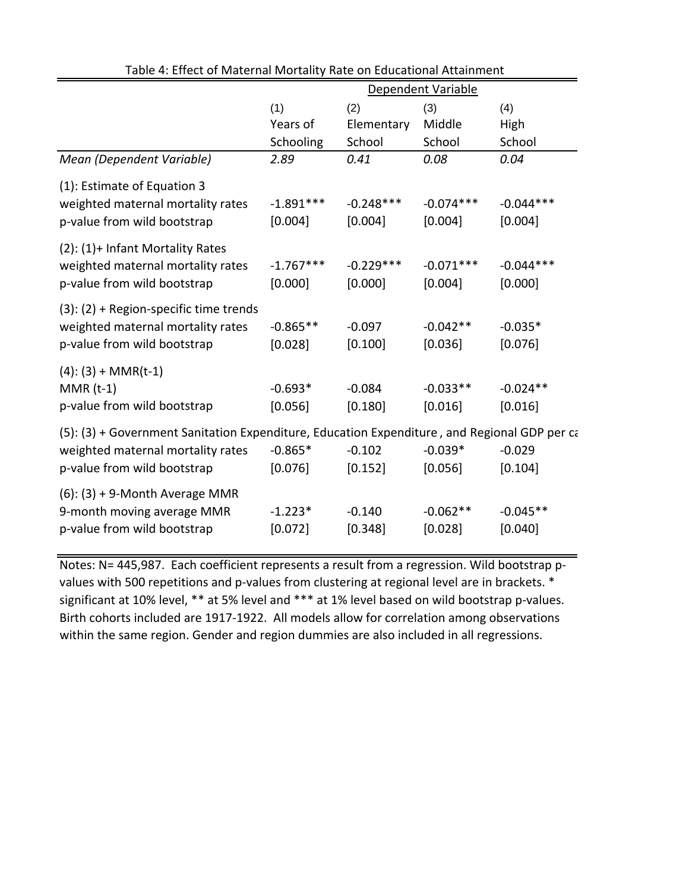|                                                                                                                                                                  | Dependent Variable       |                        |                        |                        |
|------------------------------------------------------------------------------------------------------------------------------------------------------------------|--------------------------|------------------------|------------------------|------------------------|
|                                                                                                                                                                  | (1)<br>(2)<br>(3)<br>(4) |                        |                        |                        |
|                                                                                                                                                                  | Years of                 | Elementary             | Middle                 | High                   |
|                                                                                                                                                                  | Schooling                | School                 | School                 | School                 |
| Mean (Dependent Variable)                                                                                                                                        | 2.89                     | 0.41                   | 0.08                   | 0.04                   |
| (1): Estimate of Equation 3<br>weighted maternal mortality rates<br>p-value from wild bootstrap                                                                  | $-1.891***$<br>[0.004]   | $-0.248***$<br>[0.004] | $-0.074***$<br>[0.004] | $-0.044***$<br>[0.004] |
| (2): (1)+ Infant Mortality Rates<br>weighted maternal mortality rates<br>p-value from wild bootstrap                                                             | $-1.767***$<br>[0.000]   | $-0.229***$<br>[0.000] | $-0.071***$<br>[0.004] | $-0.044***$<br>[0.000] |
| $(3)$ : $(2)$ + Region-specific time trends<br>weighted maternal mortality rates<br>p-value from wild bootstrap                                                  | $-0.865**$<br>[0.028]    | $-0.097$<br>[0.100]    | $-0.042**$<br>[0.036]  | $-0.035*$<br>[0.076]   |
| $(4)$ : $(3)$ + MMR(t-1)<br>$MMR(t-1)$<br>p-value from wild bootstrap                                                                                            | $-0.693*$<br>[0.056]     | $-0.084$<br>[0.180]    | $-0.033**$<br>[0.016]  | $-0.024**$<br>[0.016]  |
| (5): (3) + Government Sanitation Expenditure, Education Expenditure, and Regional GDP per ca<br>weighted maternal mortality rates<br>p-value from wild bootstrap | $-0.865*$<br>[0.076]     | $-0.102$<br>[0.152]    | $-0.039*$<br>[0.056]   | $-0.029$<br>[0.104]    |
| $(6)$ : $(3) + 9$ -Month Average MMR<br>9-month moving average MMR<br>p-value from wild bootstrap                                                                | $-1.223*$<br>[0.072]     | $-0.140$<br>[0.348]    | $-0.062**$<br>[0.028]  | $-0.045**$<br>[0.040]  |

Table 4: Effect of Maternal Mortality Rate on Educational Attainment

Notes: N= 445,987. Each coefficient represents a result from a regression. Wild bootstrap p‐ values with 500 repetitions and p-values from clustering at regional level are in brackets. \* significant at 10% level, \*\* at 5% level and \*\*\* at 1% level based on wild bootstrap p-values. Birth cohorts included are 1917‐1922. All models allow for correlation among observations within the same region. Gender and region dummies are also included in all regressions.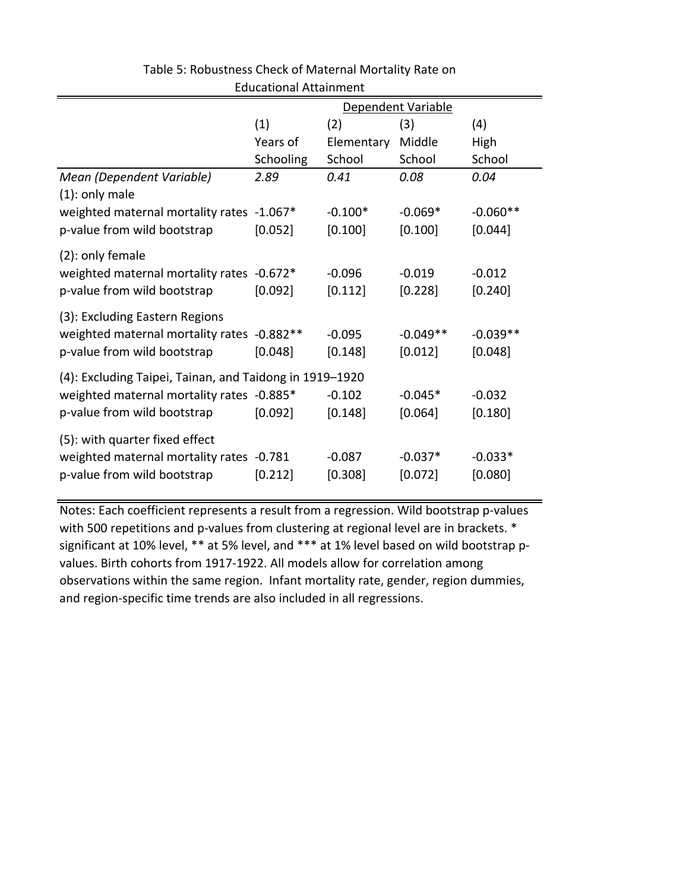|                                                         | Dependent Variable |            |            |            |  |
|---------------------------------------------------------|--------------------|------------|------------|------------|--|
|                                                         | (1)                | (2)        | (3)        | (4)        |  |
|                                                         | Years of           | Elementary | Middle     | High       |  |
|                                                         | Schooling          | School     | School     | School     |  |
| Mean (Dependent Variable)<br>$(1)$ : only male          | 2.89               | 0.41       | 0.08       | 0.04       |  |
| weighted maternal mortality rates -1.067*               |                    | $-0.100*$  | $-0.069*$  | $-0.060**$ |  |
| p-value from wild bootstrap                             | [0.052]            | [0.100]    | [0.100]    | [0.044]    |  |
| (2): only female                                        |                    |            |            |            |  |
| weighted maternal mortality rates -0.672*               |                    | $-0.096$   | $-0.019$   | $-0.012$   |  |
| p-value from wild bootstrap                             | [0.092]            | [0.112]    | [0.228]    | [0.240]    |  |
| (3): Excluding Eastern Regions                          |                    |            |            |            |  |
| weighted maternal mortality rates -0.882**              |                    | $-0.095$   | $-0.049**$ | $-0.039**$ |  |
| p-value from wild bootstrap                             | [0.048]            | [0.148]    | [0.012]    | [0.048]    |  |
| (4): Excluding Taipei, Tainan, and Taidong in 1919-1920 |                    |            |            |            |  |
| weighted maternal mortality rates -0.885*               |                    | $-0.102$   | $-0.045*$  | $-0.032$   |  |
| p-value from wild bootstrap                             | [0.092]            | [0.148]    | [0.064]    | [0.180]    |  |
| (5): with quarter fixed effect                          |                    |            |            |            |  |
| weighted maternal mortality rates -0.781                |                    | $-0.087$   | $-0.037*$  | $-0.033*$  |  |
| p-value from wild bootstrap                             | [0.212]            | [0.308]    | [0.072]    | [0.080]    |  |

Table 5: Robustness Check of Maternal Mortality Rate on Educational Attainment

Notes: Each coefficient represents a result from a regression. Wild bootstrap p‐values with 500 repetitions and p-values from clustering at regional level are in brackets. \* significant at 10% level, \*\* at 5% level, and \*\*\* at 1% level based on wild bootstrap p‐ values. Birth cohorts from 1917‐1922. All models allow for correlation among observations within the same region. Infant mortality rate, gender, region dummies, and region‐specific time trends are also included in all regressions.